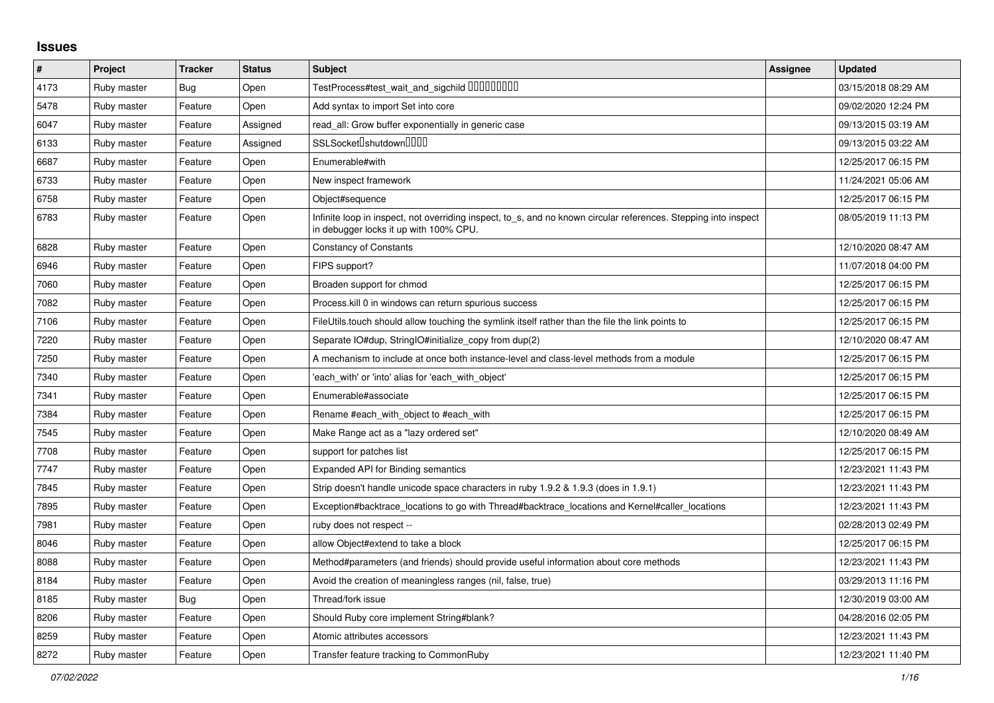## **Issues**

| $\vert$ # | Project     | <b>Tracker</b> | <b>Status</b> | <b>Subject</b>                                                                                                                                            | Assignee | <b>Updated</b>      |
|-----------|-------------|----------------|---------------|-----------------------------------------------------------------------------------------------------------------------------------------------------------|----------|---------------------|
| 4173      | Ruby master | Bug            | Open          | TestProcess#test_wait_and_sigchild DDDDDDDD                                                                                                               |          | 03/15/2018 08:29 AM |
| 5478      | Ruby master | Feature        | Open          | Add syntax to import Set into core                                                                                                                        |          | 09/02/2020 12:24 PM |
| 6047      | Ruby master | Feature        | Assigned      | read_all: Grow buffer exponentially in generic case                                                                                                       |          | 09/13/2015 03:19 AM |
| 6133      | Ruby master | Feature        | Assigned      | SSLSocket <sup>[</sup> shutdown <sup>[11]</sup>                                                                                                           |          | 09/13/2015 03:22 AM |
| 6687      | Ruby master | Feature        | Open          | Enumerable#with                                                                                                                                           |          | 12/25/2017 06:15 PM |
| 6733      | Ruby master | Feature        | Open          | New inspect framework                                                                                                                                     |          | 11/24/2021 05:06 AM |
| 6758      | Ruby master | Feature        | Open          | Object#sequence                                                                                                                                           |          | 12/25/2017 06:15 PM |
| 6783      | Ruby master | Feature        | Open          | Infinite loop in inspect, not overriding inspect, to s, and no known circular references. Stepping into inspect<br>in debugger locks it up with 100% CPU. |          | 08/05/2019 11:13 PM |
| 6828      | Ruby master | Feature        | Open          | <b>Constancy of Constants</b>                                                                                                                             |          | 12/10/2020 08:47 AM |
| 6946      | Ruby master | Feature        | Open          | FIPS support?                                                                                                                                             |          | 11/07/2018 04:00 PM |
| 7060      | Ruby master | Feature        | Open          | Broaden support for chmod                                                                                                                                 |          | 12/25/2017 06:15 PM |
| 7082      | Ruby master | Feature        | Open          | Process. kill 0 in windows can return spurious success                                                                                                    |          | 12/25/2017 06:15 PM |
| 7106      | Ruby master | Feature        | Open          | FileUtils.touch should allow touching the symlink itself rather than the file the link points to                                                          |          | 12/25/2017 06:15 PM |
| 7220      | Ruby master | Feature        | Open          | Separate IO#dup, StringIO#initialize_copy from dup(2)                                                                                                     |          | 12/10/2020 08:47 AM |
| 7250      | Ruby master | Feature        | Open          | A mechanism to include at once both instance-level and class-level methods from a module                                                                  |          | 12/25/2017 06:15 PM |
| 7340      | Ruby master | Feature        | Open          | each_with' or 'into' alias for 'each_with_object'                                                                                                         |          | 12/25/2017 06:15 PM |
| 7341      | Ruby master | Feature        | Open          | Enumerable#associate                                                                                                                                      |          | 12/25/2017 06:15 PM |
| 7384      | Ruby master | Feature        | Open          | Rename #each_with_object to #each_with                                                                                                                    |          | 12/25/2017 06:15 PM |
| 7545      | Ruby master | Feature        | Open          | Make Range act as a "lazy ordered set"                                                                                                                    |          | 12/10/2020 08:49 AM |
| 7708      | Ruby master | Feature        | Open          | support for patches list                                                                                                                                  |          | 12/25/2017 06:15 PM |
| 7747      | Ruby master | Feature        | Open          | Expanded API for Binding semantics                                                                                                                        |          | 12/23/2021 11:43 PM |
| 7845      | Ruby master | Feature        | Open          | Strip doesn't handle unicode space characters in ruby 1.9.2 & 1.9.3 (does in 1.9.1)                                                                       |          | 12/23/2021 11:43 PM |
| 7895      | Ruby master | Feature        | Open          | Exception#backtrace_locations to go with Thread#backtrace_locations and Kernel#caller_locations                                                           |          | 12/23/2021 11:43 PM |
| 7981      | Ruby master | Feature        | Open          | ruby does not respect --                                                                                                                                  |          | 02/28/2013 02:49 PM |
| 8046      | Ruby master | Feature        | Open          | allow Object#extend to take a block                                                                                                                       |          | 12/25/2017 06:15 PM |
| 8088      | Ruby master | Feature        | Open          | Method#parameters (and friends) should provide useful information about core methods                                                                      |          | 12/23/2021 11:43 PM |
| 8184      | Ruby master | Feature        | Open          | Avoid the creation of meaningless ranges (nil, false, true)                                                                                               |          | 03/29/2013 11:16 PM |
| 8185      | Ruby master | Bug            | Open          | Thread/fork issue                                                                                                                                         |          | 12/30/2019 03:00 AM |
| 8206      | Ruby master | Feature        | Open          | Should Ruby core implement String#blank?                                                                                                                  |          | 04/28/2016 02:05 PM |
| 8259      | Ruby master | Feature        | Open          | Atomic attributes accessors                                                                                                                               |          | 12/23/2021 11:43 PM |
| 8272      | Ruby master | Feature        | Open          | Transfer feature tracking to CommonRuby                                                                                                                   |          | 12/23/2021 11:40 PM |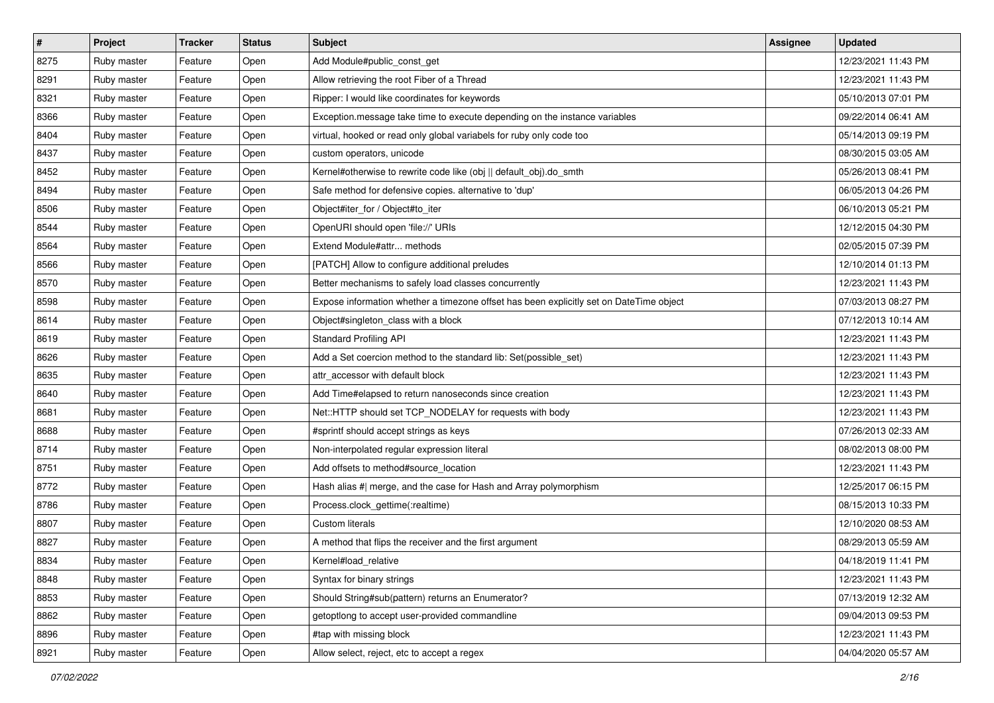| $\sharp$ | Project     | <b>Tracker</b> | <b>Status</b> | <b>Subject</b>                                                                          | <b>Assignee</b> | <b>Updated</b>      |
|----------|-------------|----------------|---------------|-----------------------------------------------------------------------------------------|-----------------|---------------------|
| 8275     | Ruby master | Feature        | Open          | Add Module#public_const_get                                                             |                 | 12/23/2021 11:43 PM |
| 8291     | Ruby master | Feature        | Open          | Allow retrieving the root Fiber of a Thread                                             |                 | 12/23/2021 11:43 PM |
| 8321     | Ruby master | Feature        | Open          | Ripper: I would like coordinates for keywords                                           |                 | 05/10/2013 07:01 PM |
| 8366     | Ruby master | Feature        | Open          | Exception.message take time to execute depending on the instance variables              |                 | 09/22/2014 06:41 AM |
| 8404     | Ruby master | Feature        | Open          | virtual, hooked or read only global variabels for ruby only code too                    |                 | 05/14/2013 09:19 PM |
| 8437     | Ruby master | Feature        | Open          | custom operators, unicode                                                               |                 | 08/30/2015 03:05 AM |
| 8452     | Ruby master | Feature        | Open          | Kernel#otherwise to rewrite code like (obj    default_obj).do_smth                      |                 | 05/26/2013 08:41 PM |
| 8494     | Ruby master | Feature        | Open          | Safe method for defensive copies. alternative to 'dup'                                  |                 | 06/05/2013 04:26 PM |
| 8506     | Ruby master | Feature        | Open          | Object#iter_for / Object#to_iter                                                        |                 | 06/10/2013 05:21 PM |
| 8544     | Ruby master | Feature        | Open          | OpenURI should open 'file://' URIs                                                      |                 | 12/12/2015 04:30 PM |
| 8564     | Ruby master | Feature        | Open          | Extend Module#attr methods                                                              |                 | 02/05/2015 07:39 PM |
| 8566     | Ruby master | Feature        | Open          | [PATCH] Allow to configure additional preludes                                          |                 | 12/10/2014 01:13 PM |
| 8570     | Ruby master | Feature        | Open          | Better mechanisms to safely load classes concurrently                                   |                 | 12/23/2021 11:43 PM |
| 8598     | Ruby master | Feature        | Open          | Expose information whether a timezone offset has been explicitly set on DateTime object |                 | 07/03/2013 08:27 PM |
| 8614     | Ruby master | Feature        | Open          | Object#singleton_class with a block                                                     |                 | 07/12/2013 10:14 AM |
| 8619     | Ruby master | Feature        | Open          | <b>Standard Profiling API</b>                                                           |                 | 12/23/2021 11:43 PM |
| 8626     | Ruby master | Feature        | Open          | Add a Set coercion method to the standard lib: Set(possible_set)                        |                 | 12/23/2021 11:43 PM |
| 8635     | Ruby master | Feature        | Open          | attr accessor with default block                                                        |                 | 12/23/2021 11:43 PM |
| 8640     | Ruby master | Feature        | Open          | Add Time#elapsed to return nanoseconds since creation                                   |                 | 12/23/2021 11:43 PM |
| 8681     | Ruby master | Feature        | Open          | Net::HTTP should set TCP_NODELAY for requests with body                                 |                 | 12/23/2021 11:43 PM |
| 8688     | Ruby master | Feature        | Open          | #sprintf should accept strings as keys                                                  |                 | 07/26/2013 02:33 AM |
| 8714     | Ruby master | Feature        | Open          | Non-interpolated regular expression literal                                             |                 | 08/02/2013 08:00 PM |
| 8751     | Ruby master | Feature        | Open          | Add offsets to method#source_location                                                   |                 | 12/23/2021 11:43 PM |
| 8772     | Ruby master | Feature        | Open          | Hash alias #  merge, and the case for Hash and Array polymorphism                       |                 | 12/25/2017 06:15 PM |
| 8786     | Ruby master | Feature        | Open          | Process.clock_gettime(:realtime)                                                        |                 | 08/15/2013 10:33 PM |
| 8807     | Ruby master | Feature        | Open          | Custom literals                                                                         |                 | 12/10/2020 08:53 AM |
| 8827     | Ruby master | Feature        | Open          | A method that flips the receiver and the first argument                                 |                 | 08/29/2013 05:59 AM |
| 8834     | Ruby master | Feature        | Open          | Kernel#load_relative                                                                    |                 | 04/18/2019 11:41 PM |
| 8848     | Ruby master | Feature        | Open          | Syntax for binary strings                                                               |                 | 12/23/2021 11:43 PM |
| 8853     | Ruby master | Feature        | Open          | Should String#sub(pattern) returns an Enumerator?                                       |                 | 07/13/2019 12:32 AM |
| 8862     | Ruby master | Feature        | Open          | getoptlong to accept user-provided commandline                                          |                 | 09/04/2013 09:53 PM |
| 8896     | Ruby master | Feature        | Open          | #tap with missing block                                                                 |                 | 12/23/2021 11:43 PM |
| 8921     | Ruby master | Feature        | Open          | Allow select, reject, etc to accept a regex                                             |                 | 04/04/2020 05:57 AM |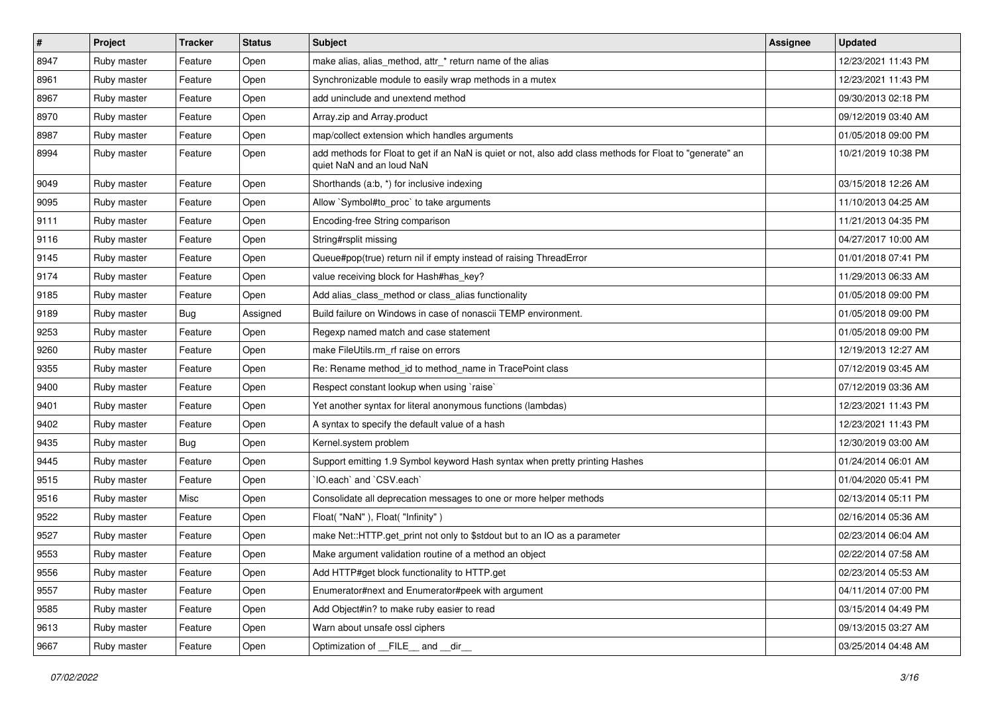| $\vert$ # | Project     | <b>Tracker</b> | <b>Status</b> | <b>Subject</b>                                                                                                                         | <b>Assignee</b> | <b>Updated</b>      |
|-----------|-------------|----------------|---------------|----------------------------------------------------------------------------------------------------------------------------------------|-----------------|---------------------|
| 8947      | Ruby master | Feature        | Open          | make alias, alias_method, attr_* return name of the alias                                                                              |                 | 12/23/2021 11:43 PM |
| 8961      | Ruby master | Feature        | Open          | Synchronizable module to easily wrap methods in a mutex                                                                                |                 | 12/23/2021 11:43 PM |
| 8967      | Ruby master | Feature        | Open          | add uninclude and unextend method                                                                                                      |                 | 09/30/2013 02:18 PM |
| 8970      | Ruby master | Feature        | Open          | Array.zip and Array.product                                                                                                            |                 | 09/12/2019 03:40 AM |
| 8987      | Ruby master | Feature        | Open          | map/collect extension which handles arguments                                                                                          |                 | 01/05/2018 09:00 PM |
| 8994      | Ruby master | Feature        | Open          | add methods for Float to get if an NaN is quiet or not, also add class methods for Float to "generate" an<br>quiet NaN and an loud NaN |                 | 10/21/2019 10:38 PM |
| 9049      | Ruby master | Feature        | Open          | Shorthands (a:b, *) for inclusive indexing                                                                                             |                 | 03/15/2018 12:26 AM |
| 9095      | Ruby master | Feature        | Open          | Allow `Symbol#to_proc` to take arguments                                                                                               |                 | 11/10/2013 04:25 AM |
| 9111      | Ruby master | Feature        | Open          | Encoding-free String comparison                                                                                                        |                 | 11/21/2013 04:35 PM |
| 9116      | Ruby master | Feature        | Open          | String#rsplit missing                                                                                                                  |                 | 04/27/2017 10:00 AM |
| 9145      | Ruby master | Feature        | Open          | Queue#pop(true) return nil if empty instead of raising ThreadError                                                                     |                 | 01/01/2018 07:41 PM |
| 9174      | Ruby master | Feature        | Open          | value receiving block for Hash#has_key?                                                                                                |                 | 11/29/2013 06:33 AM |
| 9185      | Ruby master | Feature        | Open          | Add alias_class_method or class_alias functionality                                                                                    |                 | 01/05/2018 09:00 PM |
| 9189      | Ruby master | <b>Bug</b>     | Assigned      | Build failure on Windows in case of nonascii TEMP environment.                                                                         |                 | 01/05/2018 09:00 PM |
| 9253      | Ruby master | Feature        | Open          | Regexp named match and case statement                                                                                                  |                 | 01/05/2018 09:00 PM |
| 9260      | Ruby master | Feature        | Open          | make FileUtils.rm_rf raise on errors                                                                                                   |                 | 12/19/2013 12:27 AM |
| 9355      | Ruby master | Feature        | Open          | Re: Rename method_id to method_name in TracePoint class                                                                                |                 | 07/12/2019 03:45 AM |
| 9400      | Ruby master | Feature        | Open          | Respect constant lookup when using `raise`                                                                                             |                 | 07/12/2019 03:36 AM |
| 9401      | Ruby master | Feature        | Open          | Yet another syntax for literal anonymous functions (lambdas)                                                                           |                 | 12/23/2021 11:43 PM |
| 9402      | Ruby master | Feature        | Open          | A syntax to specify the default value of a hash                                                                                        |                 | 12/23/2021 11:43 PM |
| 9435      | Ruby master | Bug            | Open          | Kernel.system problem                                                                                                                  |                 | 12/30/2019 03:00 AM |
| 9445      | Ruby master | Feature        | Open          | Support emitting 1.9 Symbol keyword Hash syntax when pretty printing Hashes                                                            |                 | 01/24/2014 06:01 AM |
| 9515      | Ruby master | Feature        | Open          | 'IO.each' and 'CSV.each'                                                                                                               |                 | 01/04/2020 05:41 PM |
| 9516      | Ruby master | Misc           | Open          | Consolidate all deprecation messages to one or more helper methods                                                                     |                 | 02/13/2014 05:11 PM |
| 9522      | Ruby master | Feature        | Open          | Float("NaN"), Float("Infinity")                                                                                                        |                 | 02/16/2014 05:36 AM |
| 9527      | Ruby master | Feature        | Open          | make Net::HTTP.get_print not only to \$stdout but to an IO as a parameter                                                              |                 | 02/23/2014 06:04 AM |
| 9553      | Ruby master | Feature        | Open          | Make argument validation routine of a method an object                                                                                 |                 | 02/22/2014 07:58 AM |
| 9556      | Ruby master | Feature        | Open          | Add HTTP#get block functionality to HTTP.get                                                                                           |                 | 02/23/2014 05:53 AM |
| 9557      | Ruby master | Feature        | Open          | Enumerator#next and Enumerator#peek with argument                                                                                      |                 | 04/11/2014 07:00 PM |
| 9585      | Ruby master | Feature        | Open          | Add Object#in? to make ruby easier to read                                                                                             |                 | 03/15/2014 04:49 PM |
| 9613      | Ruby master | Feature        | Open          | Warn about unsafe ossl ciphers                                                                                                         |                 | 09/13/2015 03:27 AM |
| 9667      | Ruby master | Feature        | Open          | Optimization of __FILE__ and __dir__                                                                                                   |                 | 03/25/2014 04:48 AM |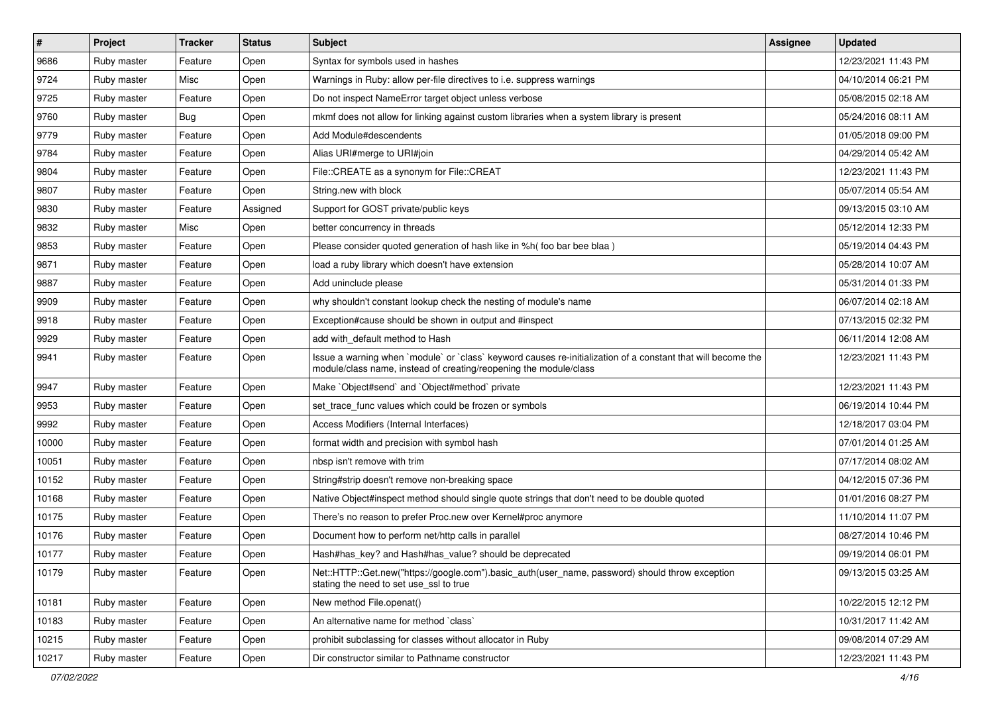| $\vert$ # | Project     | <b>Tracker</b> | <b>Status</b> | Subject                                                                                                                                                                           | Assignee | <b>Updated</b>      |
|-----------|-------------|----------------|---------------|-----------------------------------------------------------------------------------------------------------------------------------------------------------------------------------|----------|---------------------|
| 9686      | Ruby master | Feature        | Open          | Syntax for symbols used in hashes                                                                                                                                                 |          | 12/23/2021 11:43 PM |
| 9724      | Ruby master | Misc           | Open          | Warnings in Ruby: allow per-file directives to i.e. suppress warnings                                                                                                             |          | 04/10/2014 06:21 PM |
| 9725      | Ruby master | Feature        | Open          | Do not inspect NameError target object unless verbose                                                                                                                             |          | 05/08/2015 02:18 AM |
| 9760      | Ruby master | <b>Bug</b>     | Open          | mkmf does not allow for linking against custom libraries when a system library is present                                                                                         |          | 05/24/2016 08:11 AM |
| 9779      | Ruby master | Feature        | Open          | Add Module#descendents                                                                                                                                                            |          | 01/05/2018 09:00 PM |
| 9784      | Ruby master | Feature        | Open          | Alias URI#merge to URI#join                                                                                                                                                       |          | 04/29/2014 05:42 AM |
| 9804      | Ruby master | Feature        | Open          | File::CREATE as a synonym for File::CREAT                                                                                                                                         |          | 12/23/2021 11:43 PM |
| 9807      | Ruby master | Feature        | Open          | String.new with block                                                                                                                                                             |          | 05/07/2014 05:54 AM |
| 9830      | Ruby master | Feature        | Assigned      | Support for GOST private/public keys                                                                                                                                              |          | 09/13/2015 03:10 AM |
| 9832      | Ruby master | Misc           | Open          | better concurrency in threads                                                                                                                                                     |          | 05/12/2014 12:33 PM |
| 9853      | Ruby master | Feature        | Open          | Please consider quoted generation of hash like in %h(foo bar bee blaa)                                                                                                            |          | 05/19/2014 04:43 PM |
| 9871      | Ruby master | Feature        | Open          | load a ruby library which doesn't have extension                                                                                                                                  |          | 05/28/2014 10:07 AM |
| 9887      | Ruby master | Feature        | Open          | Add uninclude please                                                                                                                                                              |          | 05/31/2014 01:33 PM |
| 9909      | Ruby master | Feature        | Open          | why shouldn't constant lookup check the nesting of module's name                                                                                                                  |          | 06/07/2014 02:18 AM |
| 9918      | Ruby master | Feature        | Open          | Exception#cause should be shown in output and #inspect                                                                                                                            |          | 07/13/2015 02:32 PM |
| 9929      | Ruby master | Feature        | Open          | add with_default method to Hash                                                                                                                                                   |          | 06/11/2014 12:08 AM |
| 9941      | Ruby master | Feature        | Open          | Issue a warning when `module` or `class` keyword causes re-initialization of a constant that will become the<br>module/class name, instead of creating/reopening the module/class |          | 12/23/2021 11:43 PM |
| 9947      | Ruby master | Feature        | Open          | Make `Object#send` and `Object#method` private                                                                                                                                    |          | 12/23/2021 11:43 PM |
| 9953      | Ruby master | Feature        | Open          | set trace func values which could be frozen or symbols                                                                                                                            |          | 06/19/2014 10:44 PM |
| 9992      | Ruby master | Feature        | Open          | Access Modifiers (Internal Interfaces)                                                                                                                                            |          | 12/18/2017 03:04 PM |
| 10000     | Ruby master | Feature        | Open          | format width and precision with symbol hash                                                                                                                                       |          | 07/01/2014 01:25 AM |
| 10051     | Ruby master | Feature        | Open          | nbsp isn't remove with trim                                                                                                                                                       |          | 07/17/2014 08:02 AM |
| 10152     | Ruby master | Feature        | Open          | String#strip doesn't remove non-breaking space                                                                                                                                    |          | 04/12/2015 07:36 PM |
| 10168     | Ruby master | Feature        | Open          | Native Object#inspect method should single quote strings that don't need to be double quoted                                                                                      |          | 01/01/2016 08:27 PM |
| 10175     | Ruby master | Feature        | Open          | There's no reason to prefer Proc.new over Kernel#proc anymore                                                                                                                     |          | 11/10/2014 11:07 PM |
| 10176     | Ruby master | Feature        | Open          | Document how to perform net/http calls in parallel                                                                                                                                |          | 08/27/2014 10:46 PM |
| 10177     | Ruby master | Feature        | Open          | Hash#has_key? and Hash#has_value? should be deprecated                                                                                                                            |          | 09/19/2014 06:01 PM |
| 10179     | Ruby master | Feature        | Open          | Net::HTTP::Get.new("https://google.com").basic_auth(user_name, password) should throw exception<br>stating the need to set use ssl to true                                        |          | 09/13/2015 03:25 AM |
| 10181     | Ruby master | Feature        | Open          | New method File.openat()                                                                                                                                                          |          | 10/22/2015 12:12 PM |
| 10183     | Ruby master | Feature        | Open          | An alternative name for method `class`                                                                                                                                            |          | 10/31/2017 11:42 AM |
| 10215     | Ruby master | Feature        | Open          | prohibit subclassing for classes without allocator in Ruby                                                                                                                        |          | 09/08/2014 07:29 AM |
| 10217     | Ruby master | Feature        | Open          | Dir constructor similar to Pathname constructor                                                                                                                                   |          | 12/23/2021 11:43 PM |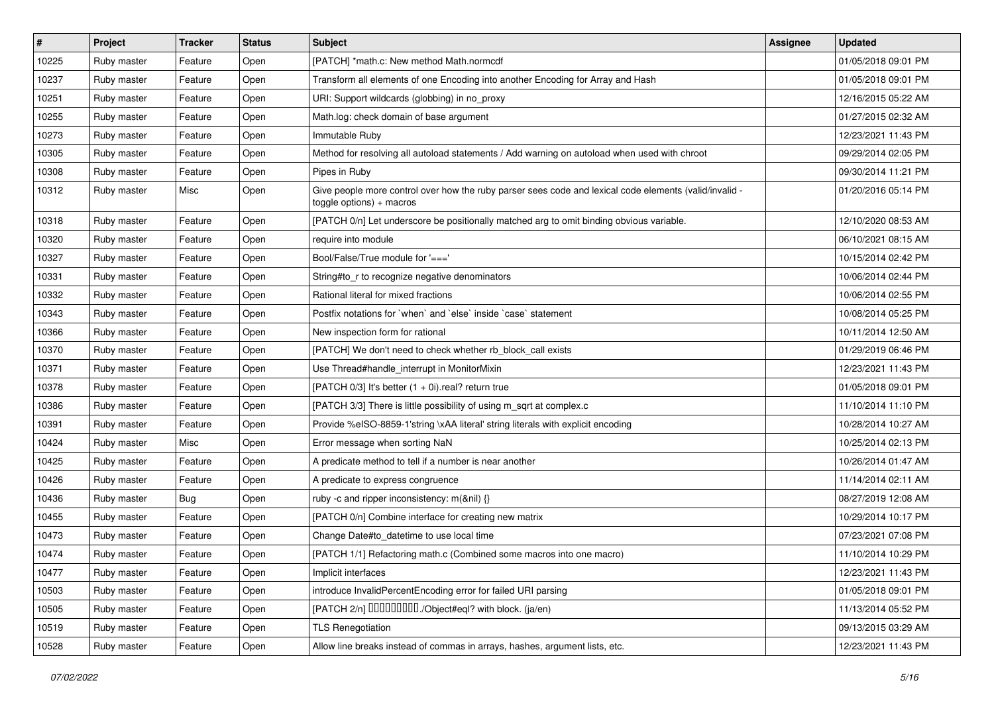| #     | Project     | <b>Tracker</b> | <b>Status</b> | Subject                                                                                                                            | Assignee | <b>Updated</b>      |
|-------|-------------|----------------|---------------|------------------------------------------------------------------------------------------------------------------------------------|----------|---------------------|
| 10225 | Ruby master | Feature        | Open          | [PATCH] *math.c: New method Math.normcdf                                                                                           |          | 01/05/2018 09:01 PM |
| 10237 | Ruby master | Feature        | Open          | Transform all elements of one Encoding into another Encoding for Array and Hash                                                    |          | 01/05/2018 09:01 PM |
| 10251 | Ruby master | Feature        | Open          | URI: Support wildcards (globbing) in no_proxy                                                                                      |          | 12/16/2015 05:22 AM |
| 10255 | Ruby master | Feature        | Open          | Math.log: check domain of base argument                                                                                            |          | 01/27/2015 02:32 AM |
| 10273 | Ruby master | Feature        | Open          | Immutable Ruby                                                                                                                     |          | 12/23/2021 11:43 PM |
| 10305 | Ruby master | Feature        | Open          | Method for resolving all autoload statements / Add warning on autoload when used with chroot                                       |          | 09/29/2014 02:05 PM |
| 10308 | Ruby master | Feature        | Open          | Pipes in Ruby                                                                                                                      |          | 09/30/2014 11:21 PM |
| 10312 | Ruby master | Misc           | Open          | - Give people more control over how the ruby parser sees code and lexical code elements (valid/invalid<br>toggle options) + macros |          | 01/20/2016 05:14 PM |
| 10318 | Ruby master | Feature        | Open          | [PATCH 0/n] Let underscore be positionally matched arg to omit binding obvious variable.                                           |          | 12/10/2020 08:53 AM |
| 10320 | Ruby master | Feature        | Open          | require into module                                                                                                                |          | 06/10/2021 08:15 AM |
| 10327 | Ruby master | Feature        | Open          | Bool/False/True module for '==='                                                                                                   |          | 10/15/2014 02:42 PM |
| 10331 | Ruby master | Feature        | Open          | String#to_r to recognize negative denominators                                                                                     |          | 10/06/2014 02:44 PM |
| 10332 | Ruby master | Feature        | Open          | Rational literal for mixed fractions                                                                                               |          | 10/06/2014 02:55 PM |
| 10343 | Ruby master | Feature        | Open          | Postfix notations for `when` and `else` inside `case` statement                                                                    |          | 10/08/2014 05:25 PM |
| 10366 | Ruby master | Feature        | Open          | New inspection form for rational                                                                                                   |          | 10/11/2014 12:50 AM |
| 10370 | Ruby master | Feature        | Open          | [PATCH] We don't need to check whether rb_block_call exists                                                                        |          | 01/29/2019 06:46 PM |
| 10371 | Ruby master | Feature        | Open          | Use Thread#handle_interrupt in MonitorMixin                                                                                        |          | 12/23/2021 11:43 PM |
| 10378 | Ruby master | Feature        | Open          | [PATCH $0/3$ ] It's better $(1 + 0i)$ .real? return true                                                                           |          | 01/05/2018 09:01 PM |
| 10386 | Ruby master | Feature        | Open          | [PATCH 3/3] There is little possibility of using m_sqrt at complex.c                                                               |          | 11/10/2014 11:10 PM |
| 10391 | Ruby master | Feature        | Open          | Provide %eISO-8859-1'string \xAA literal' string literals with explicit encoding                                                   |          | 10/28/2014 10:27 AM |
| 10424 | Ruby master | Misc           | Open          | Error message when sorting NaN                                                                                                     |          | 10/25/2014 02:13 PM |
| 10425 | Ruby master | Feature        | Open          | A predicate method to tell if a number is near another                                                                             |          | 10/26/2014 01:47 AM |
| 10426 | Ruby master | Feature        | Open          | A predicate to express congruence                                                                                                  |          | 11/14/2014 02:11 AM |
| 10436 | Ruby master | <b>Bug</b>     | Open          | ruby -c and ripper inconsistency: m(&nil) {}                                                                                       |          | 08/27/2019 12:08 AM |
| 10455 | Ruby master | Feature        | Open          | [PATCH 0/n] Combine interface for creating new matrix                                                                              |          | 10/29/2014 10:17 PM |
| 10473 | Ruby master | Feature        | Open          | Change Date#to datetime to use local time                                                                                          |          | 07/23/2021 07:08 PM |
| 10474 | Ruby master | Feature        | Open          | [PATCH 1/1] Refactoring math.c (Combined some macros into one macro)                                                               |          | 11/10/2014 10:29 PM |
| 10477 | Ruby master | Feature        | Open          | Implicit interfaces                                                                                                                |          | 12/23/2021 11:43 PM |
| 10503 | Ruby master | Feature        | Open          | introduce InvalidPercentEncoding error for failed URI parsing                                                                      |          | 01/05/2018 09:01 PM |
| 10505 | Ruby master | Feature        | Open          | [PATCH 2/n] DDDDDDDD./Object#eql? with block. (ja/en)                                                                              |          | 11/13/2014 05:52 PM |
| 10519 | Ruby master | Feature        | Open          | <b>TLS Renegotiation</b>                                                                                                           |          | 09/13/2015 03:29 AM |
| 10528 | Ruby master | Feature        | Open          | Allow line breaks instead of commas in arrays, hashes, argument lists, etc.                                                        |          | 12/23/2021 11:43 PM |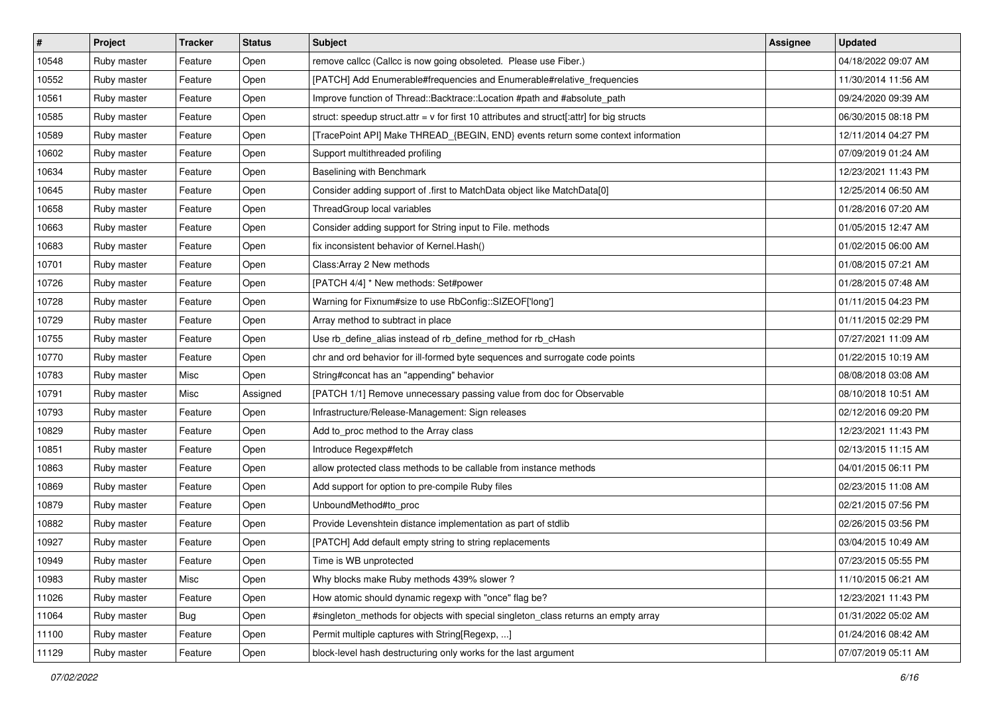| $\vert$ # | Project     | <b>Tracker</b> | <b>Status</b> | Subject                                                                                     | Assignee | <b>Updated</b>      |
|-----------|-------------|----------------|---------------|---------------------------------------------------------------------------------------------|----------|---------------------|
| 10548     | Ruby master | Feature        | Open          | remove callcc (Callcc is now going obsoleted. Please use Fiber.)                            |          | 04/18/2022 09:07 AM |
| 10552     | Ruby master | Feature        | Open          | [PATCH] Add Enumerable#frequencies and Enumerable#relative_frequencies                      |          | 11/30/2014 11:56 AM |
| 10561     | Ruby master | Feature        | Open          | Improve function of Thread::Backtrace::Location #path and #absolute_path                    |          | 09/24/2020 09:39 AM |
| 10585     | Ruby master | Feature        | Open          | struct: speedup struct.attr = $v$ for first 10 attributes and struct[:attr] for big structs |          | 06/30/2015 08:18 PM |
| 10589     | Ruby master | Feature        | Open          | [TracePoint API] Make THREAD_{BEGIN, END} events return some context information            |          | 12/11/2014 04:27 PM |
| 10602     | Ruby master | Feature        | Open          | Support multithreaded profiling                                                             |          | 07/09/2019 01:24 AM |
| 10634     | Ruby master | Feature        | Open          | Baselining with Benchmark                                                                   |          | 12/23/2021 11:43 PM |
| 10645     | Ruby master | Feature        | Open          | Consider adding support of .first to MatchData object like MatchData[0]                     |          | 12/25/2014 06:50 AM |
| 10658     | Ruby master | Feature        | Open          | ThreadGroup local variables                                                                 |          | 01/28/2016 07:20 AM |
| 10663     | Ruby master | Feature        | Open          | Consider adding support for String input to File. methods                                   |          | 01/05/2015 12:47 AM |
| 10683     | Ruby master | Feature        | Open          | fix inconsistent behavior of Kernel. Hash()                                                 |          | 01/02/2015 06:00 AM |
| 10701     | Ruby master | Feature        | Open          | Class: Array 2 New methods                                                                  |          | 01/08/2015 07:21 AM |
| 10726     | Ruby master | Feature        | Open          | [PATCH 4/4] * New methods: Set#power                                                        |          | 01/28/2015 07:48 AM |
| 10728     | Ruby master | Feature        | Open          | Warning for Fixnum#size to use RbConfig::SIZEOF['long']                                     |          | 01/11/2015 04:23 PM |
| 10729     | Ruby master | Feature        | Open          | Array method to subtract in place                                                           |          | 01/11/2015 02:29 PM |
| 10755     | Ruby master | Feature        | Open          | Use rb_define_alias instead of rb_define_method for rb_cHash                                |          | 07/27/2021 11:09 AM |
| 10770     | Ruby master | Feature        | Open          | chr and ord behavior for ill-formed byte sequences and surrogate code points                |          | 01/22/2015 10:19 AM |
| 10783     | Ruby master | Misc           | Open          | String#concat has an "appending" behavior                                                   |          | 08/08/2018 03:08 AM |
| 10791     | Ruby master | Misc           | Assigned      | [PATCH 1/1] Remove unnecessary passing value from doc for Observable                        |          | 08/10/2018 10:51 AM |
| 10793     | Ruby master | Feature        | Open          | Infrastructure/Release-Management: Sign releases                                            |          | 02/12/2016 09:20 PM |
| 10829     | Ruby master | Feature        | Open          | Add to_proc method to the Array class                                                       |          | 12/23/2021 11:43 PM |
| 10851     | Ruby master | Feature        | Open          | Introduce Regexp#fetch                                                                      |          | 02/13/2015 11:15 AM |
| 10863     | Ruby master | Feature        | Open          | allow protected class methods to be callable from instance methods                          |          | 04/01/2015 06:11 PM |
| 10869     | Ruby master | Feature        | Open          | Add support for option to pre-compile Ruby files                                            |          | 02/23/2015 11:08 AM |
| 10879     | Ruby master | Feature        | Open          | UnboundMethod#to_proc                                                                       |          | 02/21/2015 07:56 PM |
| 10882     | Ruby master | Feature        | Open          | Provide Levenshtein distance implementation as part of stdlib                               |          | 02/26/2015 03:56 PM |
| 10927     | Ruby master | Feature        | Open          | [PATCH] Add default empty string to string replacements                                     |          | 03/04/2015 10:49 AM |
| 10949     | Ruby master | Feature        | Open          | Time is WB unprotected                                                                      |          | 07/23/2015 05:55 PM |
| 10983     | Ruby master | Misc           | Open          | Why blocks make Ruby methods 439% slower?                                                   |          | 11/10/2015 06:21 AM |
| 11026     | Ruby master | Feature        | Open          | How atomic should dynamic regexp with "once" flag be?                                       |          | 12/23/2021 11:43 PM |
| 11064     | Ruby master | Bug            | Open          | #singleton_methods for objects with special singleton_class returns an empty array          |          | 01/31/2022 05:02 AM |
| 11100     | Ruby master | Feature        | Open          | Permit multiple captures with String [Regexp, ]                                             |          | 01/24/2016 08:42 AM |
| 11129     | Ruby master | Feature        | Open          | block-level hash destructuring only works for the last argument                             |          | 07/07/2019 05:11 AM |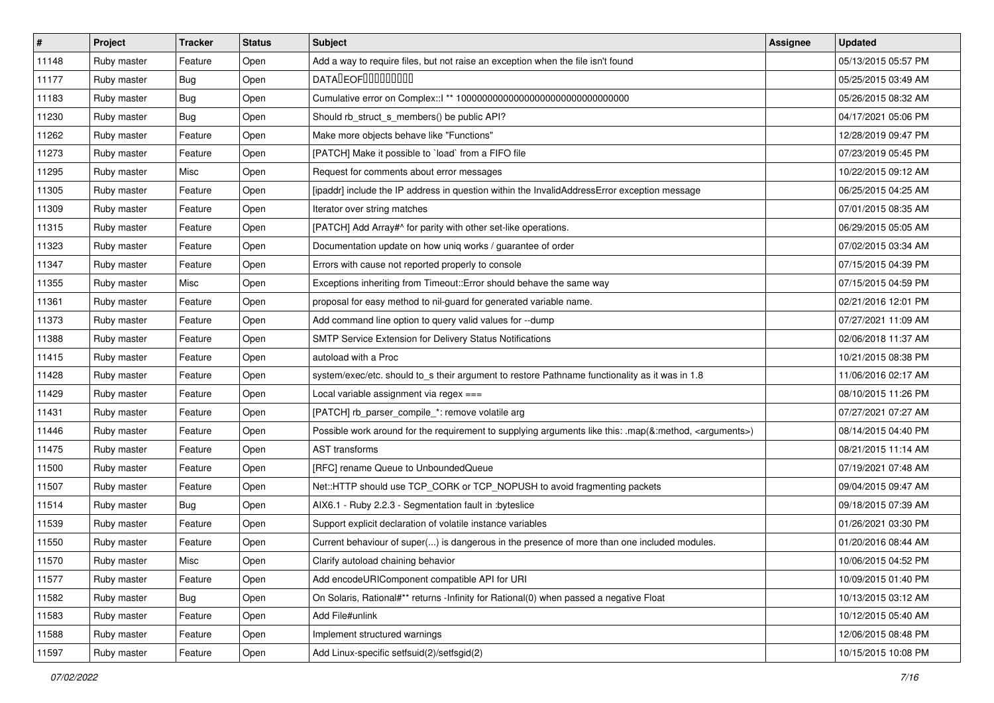| $\vert$ # | Project     | <b>Tracker</b> | <b>Status</b> | <b>Subject</b>                                                                                                     | <b>Assignee</b> | <b>Updated</b>      |
|-----------|-------------|----------------|---------------|--------------------------------------------------------------------------------------------------------------------|-----------------|---------------------|
| 11148     | Ruby master | Feature        | Open          | Add a way to require files, but not raise an exception when the file isn't found                                   |                 | 05/13/2015 05:57 PM |
| 11177     | Ruby master | <b>Bug</b>     | Open          | <b>DATALEOFILILILILILI</b>                                                                                         |                 | 05/25/2015 03:49 AM |
| 11183     | Ruby master | <b>Bug</b>     | Open          |                                                                                                                    |                 | 05/26/2015 08:32 AM |
| 11230     | Ruby master | Bug            | Open          | Should rb_struct_s_members() be public API?                                                                        |                 | 04/17/2021 05:06 PM |
| 11262     | Ruby master | Feature        | Open          | Make more objects behave like "Functions"                                                                          |                 | 12/28/2019 09:47 PM |
| 11273     | Ruby master | Feature        | Open          | [PATCH] Make it possible to 'load' from a FIFO file                                                                |                 | 07/23/2019 05:45 PM |
| 11295     | Ruby master | Misc           | Open          | Request for comments about error messages                                                                          |                 | 10/22/2015 09:12 AM |
| 11305     | Ruby master | Feature        | Open          | [ipaddr] include the IP address in question within the InvalidAddressError exception message                       |                 | 06/25/2015 04:25 AM |
| 11309     | Ruby master | Feature        | Open          | Iterator over string matches                                                                                       |                 | 07/01/2015 08:35 AM |
| 11315     | Ruby master | Feature        | Open          | [PATCH] Add Array#^ for parity with other set-like operations.                                                     |                 | 06/29/2015 05:05 AM |
| 11323     | Ruby master | Feature        | Open          | Documentation update on how uniq works / guarantee of order                                                        |                 | 07/02/2015 03:34 AM |
| 11347     | Ruby master | Feature        | Open          | Errors with cause not reported properly to console                                                                 |                 | 07/15/2015 04:39 PM |
| 11355     | Ruby master | Misc           | Open          | Exceptions inheriting from Timeout:: Error should behave the same way                                              |                 | 07/15/2015 04:59 PM |
| 11361     | Ruby master | Feature        | Open          | proposal for easy method to nil-guard for generated variable name.                                                 |                 | 02/21/2016 12:01 PM |
| 11373     | Ruby master | Feature        | Open          | Add command line option to query valid values for --dump                                                           |                 | 07/27/2021 11:09 AM |
| 11388     | Ruby master | Feature        | Open          | SMTP Service Extension for Delivery Status Notifications                                                           |                 | 02/06/2018 11:37 AM |
| 11415     | Ruby master | Feature        | Open          | autoload with a Proc                                                                                               |                 | 10/21/2015 08:38 PM |
| 11428     | Ruby master | Feature        | Open          | system/exec/etc. should to_s their argument to restore Pathname functionality as it was in 1.8                     |                 | 11/06/2016 02:17 AM |
| 11429     | Ruby master | Feature        | Open          | Local variable assignment via regex ===                                                                            |                 | 08/10/2015 11:26 PM |
| 11431     | Ruby master | Feature        | Open          | [PATCH] rb_parser_compile_*: remove volatile arg                                                                   |                 | 07/27/2021 07:27 AM |
| 11446     | Ruby master | Feature        | Open          | Possible work around for the requirement to supplying arguments like this: .map(&:method, <arguments>)</arguments> |                 | 08/14/2015 04:40 PM |
| 11475     | Ruby master | Feature        | Open          | <b>AST transforms</b>                                                                                              |                 | 08/21/2015 11:14 AM |
| 11500     | Ruby master | Feature        | Open          | [RFC] rename Queue to UnboundedQueue                                                                               |                 | 07/19/2021 07:48 AM |
| 11507     | Ruby master | Feature        | Open          | Net::HTTP should use TCP_CORK or TCP_NOPUSH to avoid fragmenting packets                                           |                 | 09/04/2015 09:47 AM |
| 11514     | Ruby master | Bug            | Open          | AIX6.1 - Ruby 2.2.3 - Segmentation fault in : byteslice                                                            |                 | 09/18/2015 07:39 AM |
| 11539     | Ruby master | Feature        | Open          | Support explicit declaration of volatile instance variables                                                        |                 | 01/26/2021 03:30 PM |
| 11550     | Ruby master | Feature        | Open          | Current behaviour of super() is dangerous in the presence of more than one included modules.                       |                 | 01/20/2016 08:44 AM |
| 11570     | Ruby master | Misc           | Open          | Clarify autoload chaining behavior                                                                                 |                 | 10/06/2015 04:52 PM |
| 11577     | Ruby master | Feature        | Open          | Add encodeURIComponent compatible API for URI                                                                      |                 | 10/09/2015 01:40 PM |
| 11582     | Ruby master | <b>Bug</b>     | Open          | On Solaris, Rational#** returns -Infinity for Rational(0) when passed a negative Float                             |                 | 10/13/2015 03:12 AM |
| 11583     | Ruby master | Feature        | Open          | Add File#unlink                                                                                                    |                 | 10/12/2015 05:40 AM |
| 11588     | Ruby master | Feature        | Open          | Implement structured warnings                                                                                      |                 | 12/06/2015 08:48 PM |
| 11597     | Ruby master | Feature        | Open          | Add Linux-specific setfsuid(2)/setfsgid(2)                                                                         |                 | 10/15/2015 10:08 PM |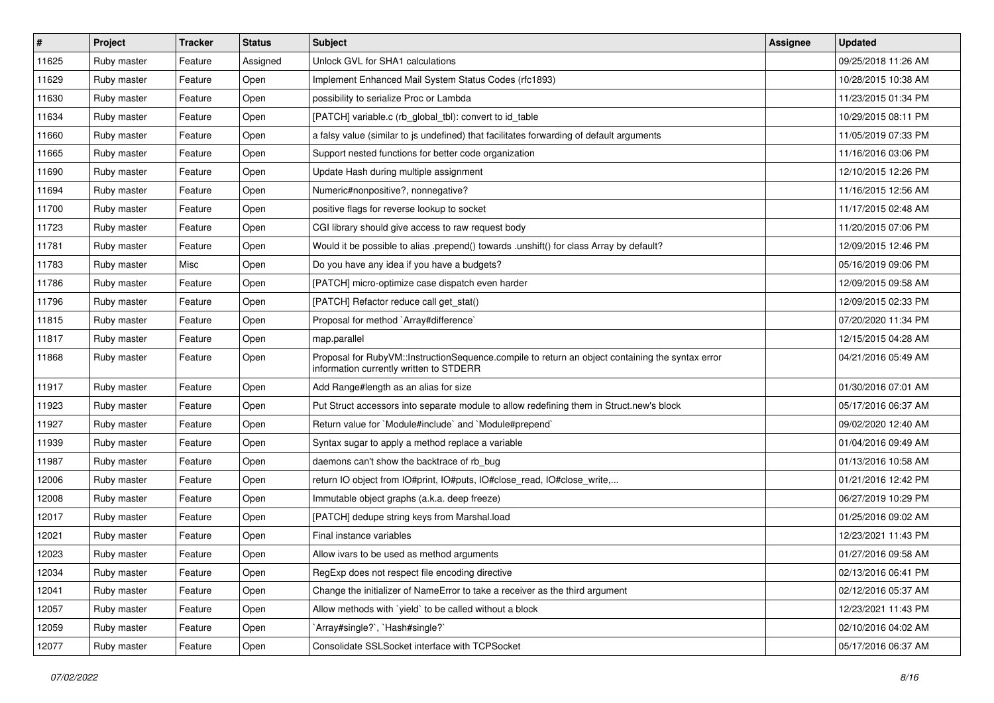| $\vert$ # | Project     | <b>Tracker</b> | <b>Status</b> | <b>Subject</b>                                                                                                                              | Assignee | <b>Updated</b>      |
|-----------|-------------|----------------|---------------|---------------------------------------------------------------------------------------------------------------------------------------------|----------|---------------------|
| 11625     | Ruby master | Feature        | Assigned      | Unlock GVL for SHA1 calculations                                                                                                            |          | 09/25/2018 11:26 AM |
| 11629     | Ruby master | Feature        | Open          | Implement Enhanced Mail System Status Codes (rfc1893)                                                                                       |          | 10/28/2015 10:38 AM |
| 11630     | Ruby master | Feature        | Open          | possibility to serialize Proc or Lambda                                                                                                     |          | 11/23/2015 01:34 PM |
| 11634     | Ruby master | Feature        | Open          | [PATCH] variable.c (rb_global_tbl): convert to id_table                                                                                     |          | 10/29/2015 08:11 PM |
| 11660     | Ruby master | Feature        | Open          | a falsy value (similar to js undefined) that facilitates forwarding of default arguments                                                    |          | 11/05/2019 07:33 PM |
| 11665     | Ruby master | Feature        | Open          | Support nested functions for better code organization                                                                                       |          | 11/16/2016 03:06 PM |
| 11690     | Ruby master | Feature        | Open          | Update Hash during multiple assignment                                                                                                      |          | 12/10/2015 12:26 PM |
| 11694     | Ruby master | Feature        | Open          | Numeric#nonpositive?, nonnegative?                                                                                                          |          | 11/16/2015 12:56 AM |
| 11700     | Ruby master | Feature        | Open          | positive flags for reverse lookup to socket                                                                                                 |          | 11/17/2015 02:48 AM |
| 11723     | Ruby master | Feature        | Open          | CGI library should give access to raw request body                                                                                          |          | 11/20/2015 07:06 PM |
| 11781     | Ruby master | Feature        | Open          | Would it be possible to alias .prepend() towards .unshift() for class Array by default?                                                     |          | 12/09/2015 12:46 PM |
| 11783     | Ruby master | Misc           | Open          | Do you have any idea if you have a budgets?                                                                                                 |          | 05/16/2019 09:06 PM |
| 11786     | Ruby master | Feature        | Open          | [PATCH] micro-optimize case dispatch even harder                                                                                            |          | 12/09/2015 09:58 AM |
| 11796     | Ruby master | Feature        | Open          | [PATCH] Refactor reduce call get stat()                                                                                                     |          | 12/09/2015 02:33 PM |
| 11815     | Ruby master | Feature        | Open          | Proposal for method `Array#difference`                                                                                                      |          | 07/20/2020 11:34 PM |
| 11817     | Ruby master | Feature        | Open          | map.parallel                                                                                                                                |          | 12/15/2015 04:28 AM |
| 11868     | Ruby master | Feature        | Open          | Proposal for RubyVM::InstructionSequence.compile to return an object containing the syntax error<br>information currently written to STDERR |          | 04/21/2016 05:49 AM |
| 11917     | Ruby master | Feature        | Open          | Add Range#length as an alias for size                                                                                                       |          | 01/30/2016 07:01 AM |
| 11923     | Ruby master | Feature        | Open          | Put Struct accessors into separate module to allow redefining them in Struct.new's block                                                    |          | 05/17/2016 06:37 AM |
| 11927     | Ruby master | Feature        | Open          | Return value for `Module#include` and `Module#prepend`                                                                                      |          | 09/02/2020 12:40 AM |
| 11939     | Ruby master | Feature        | Open          | Syntax sugar to apply a method replace a variable                                                                                           |          | 01/04/2016 09:49 AM |
| 11987     | Ruby master | Feature        | Open          | daemons can't show the backtrace of rb_bug                                                                                                  |          | 01/13/2016 10:58 AM |
| 12006     | Ruby master | Feature        | Open          | return IO object from IO#print, IO#puts, IO#close_read, IO#close_write,                                                                     |          | 01/21/2016 12:42 PM |
| 12008     | Ruby master | Feature        | Open          | Immutable object graphs (a.k.a. deep freeze)                                                                                                |          | 06/27/2019 10:29 PM |
| 12017     | Ruby master | Feature        | Open          | [PATCH] dedupe string keys from Marshal.load                                                                                                |          | 01/25/2016 09:02 AM |
| 12021     | Ruby master | Feature        | Open          | Final instance variables                                                                                                                    |          | 12/23/2021 11:43 PM |
| 12023     | Ruby master | Feature        | Open          | Allow ivars to be used as method arguments                                                                                                  |          | 01/27/2016 09:58 AM |
| 12034     | Ruby master | Feature        | Open          | RegExp does not respect file encoding directive                                                                                             |          | 02/13/2016 06:41 PM |
| 12041     | Ruby master | Feature        | Open          | Change the initializer of NameError to take a receiver as the third argument                                                                |          | 02/12/2016 05:37 AM |
| 12057     | Ruby master | Feature        | Open          | Allow methods with 'yield' to be called without a block                                                                                     |          | 12/23/2021 11:43 PM |
| 12059     | Ruby master | Feature        | Open          | `Array#single?`, `Hash#single?`                                                                                                             |          | 02/10/2016 04:02 AM |
| 12077     | Ruby master | Feature        | Open          | Consolidate SSLSocket interface with TCPSocket                                                                                              |          | 05/17/2016 06:37 AM |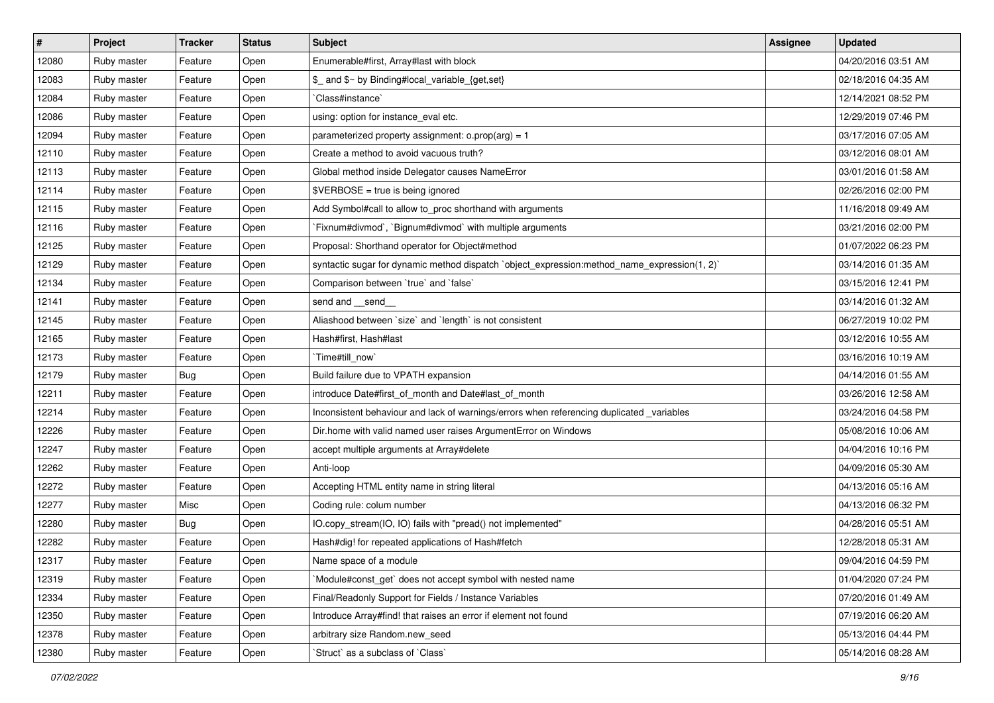| #     | Project     | <b>Tracker</b> | <b>Status</b> | <b>Subject</b>                                                                               | <b>Assignee</b> | <b>Updated</b>      |
|-------|-------------|----------------|---------------|----------------------------------------------------------------------------------------------|-----------------|---------------------|
| 12080 | Ruby master | Feature        | Open          | Enumerable#first, Array#last with block                                                      |                 | 04/20/2016 03:51 AM |
| 12083 | Ruby master | Feature        | Open          | \$_ and \$~ by Binding#local_variable_{get,set}                                              |                 | 02/18/2016 04:35 AM |
| 12084 | Ruby master | Feature        | Open          | `Class#instance`                                                                             |                 | 12/14/2021 08:52 PM |
| 12086 | Ruby master | Feature        | Open          | using: option for instance_eval etc.                                                         |                 | 12/29/2019 07:46 PM |
| 12094 | Ruby master | Feature        | Open          | parameterized property assignment: $o.prop(arg) = 1$                                         |                 | 03/17/2016 07:05 AM |
| 12110 | Ruby master | Feature        | Open          | Create a method to avoid vacuous truth?                                                      |                 | 03/12/2016 08:01 AM |
| 12113 | Ruby master | Feature        | Open          | Global method inside Delegator causes NameError                                              |                 | 03/01/2016 01:58 AM |
| 12114 | Ruby master | Feature        | Open          | \$VERBOSE = true is being ignored                                                            |                 | 02/26/2016 02:00 PM |
| 12115 | Ruby master | Feature        | Open          | Add Symbol#call to allow to_proc shorthand with arguments                                    |                 | 11/16/2018 09:49 AM |
| 12116 | Ruby master | Feature        | Open          | Fixnum#divmod`, `Bignum#divmod` with multiple arguments                                      |                 | 03/21/2016 02:00 PM |
| 12125 | Ruby master | Feature        | Open          | Proposal: Shorthand operator for Object#method                                               |                 | 01/07/2022 06:23 PM |
| 12129 | Ruby master | Feature        | Open          | syntactic sugar for dynamic method dispatch `object_expression:method_name_expression(1, 2)` |                 | 03/14/2016 01:35 AM |
| 12134 | Ruby master | Feature        | Open          | Comparison between 'true' and 'false'                                                        |                 | 03/15/2016 12:41 PM |
| 12141 | Ruby master | Feature        | Open          | send and __send_                                                                             |                 | 03/14/2016 01:32 AM |
| 12145 | Ruby master | Feature        | Open          | Aliashood between `size` and `length` is not consistent                                      |                 | 06/27/2019 10:02 PM |
| 12165 | Ruby master | Feature        | Open          | Hash#first, Hash#last                                                                        |                 | 03/12/2016 10:55 AM |
| 12173 | Ruby master | Feature        | Open          | `Time#till_now`                                                                              |                 | 03/16/2016 10:19 AM |
| 12179 | Ruby master | <b>Bug</b>     | Open          | Build failure due to VPATH expansion                                                         |                 | 04/14/2016 01:55 AM |
| 12211 | Ruby master | Feature        | Open          | introduce Date#first_of_month and Date#last_of_month                                         |                 | 03/26/2016 12:58 AM |
| 12214 | Ruby master | Feature        | Open          | Inconsistent behaviour and lack of warnings/errors when referencing duplicated _variables    |                 | 03/24/2016 04:58 PM |
| 12226 | Ruby master | Feature        | Open          | Dir.home with valid named user raises ArgumentError on Windows                               |                 | 05/08/2016 10:06 AM |
| 12247 | Ruby master | Feature        | Open          | accept multiple arguments at Array#delete                                                    |                 | 04/04/2016 10:16 PM |
| 12262 | Ruby master | Feature        | Open          | Anti-loop                                                                                    |                 | 04/09/2016 05:30 AM |
| 12272 | Ruby master | Feature        | Open          | Accepting HTML entity name in string literal                                                 |                 | 04/13/2016 05:16 AM |
| 12277 | Ruby master | Misc           | Open          | Coding rule: colum number                                                                    |                 | 04/13/2016 06:32 PM |
| 12280 | Ruby master | Bug            | Open          | IO.copy_stream(IO, IO) fails with "pread() not implemented"                                  |                 | 04/28/2016 05:51 AM |
| 12282 | Ruby master | Feature        | Open          | Hash#dig! for repeated applications of Hash#fetch                                            |                 | 12/28/2018 05:31 AM |
| 12317 | Ruby master | Feature        | Open          | Name space of a module                                                                       |                 | 09/04/2016 04:59 PM |
| 12319 | Ruby master | Feature        | Open          | Module#const get` does not accept symbol with nested name                                    |                 | 01/04/2020 07:24 PM |
| 12334 | Ruby master | Feature        | Open          | Final/Readonly Support for Fields / Instance Variables                                       |                 | 07/20/2016 01:49 AM |
| 12350 | Ruby master | Feature        | Open          | Introduce Array#find! that raises an error if element not found                              |                 | 07/19/2016 06:20 AM |
| 12378 | Ruby master | Feature        | Open          | arbitrary size Random.new_seed                                                               |                 | 05/13/2016 04:44 PM |
| 12380 | Ruby master | Feature        | Open          | 'Struct' as a subclass of 'Class'                                                            |                 | 05/14/2016 08:28 AM |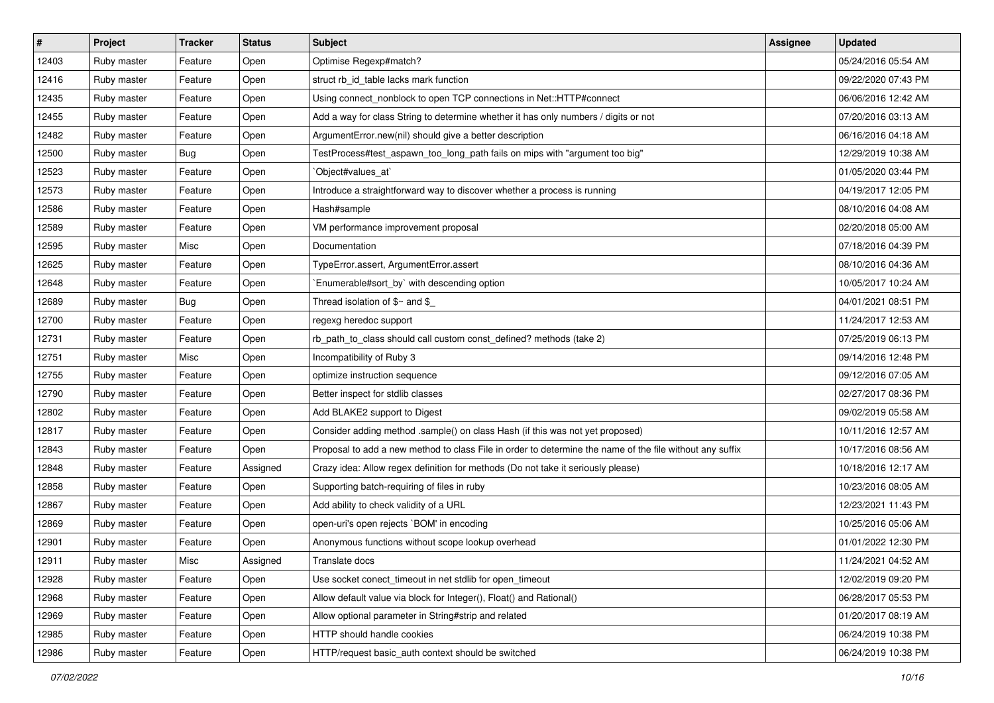| #     | Project     | <b>Tracker</b> | <b>Status</b> | <b>Subject</b>                                                                                           | Assignee | <b>Updated</b>      |
|-------|-------------|----------------|---------------|----------------------------------------------------------------------------------------------------------|----------|---------------------|
| 12403 | Ruby master | Feature        | Open          | Optimise Regexp#match?                                                                                   |          | 05/24/2016 05:54 AM |
| 12416 | Ruby master | Feature        | Open          | struct rb_id_table lacks mark function                                                                   |          | 09/22/2020 07:43 PM |
| 12435 | Ruby master | Feature        | Open          | Using connect_nonblock to open TCP connections in Net::HTTP#connect                                      |          | 06/06/2016 12:42 AM |
| 12455 | Ruby master | Feature        | Open          | Add a way for class String to determine whether it has only numbers / digits or not                      |          | 07/20/2016 03:13 AM |
| 12482 | Ruby master | Feature        | Open          | ArgumentError.new(nil) should give a better description                                                  |          | 06/16/2016 04:18 AM |
| 12500 | Ruby master | <b>Bug</b>     | Open          | TestProcess#test_aspawn_too_long_path fails on mips with "argument too big"                              |          | 12/29/2019 10:38 AM |
| 12523 | Ruby master | Feature        | Open          | `Object#values_at`                                                                                       |          | 01/05/2020 03:44 PM |
| 12573 | Ruby master | Feature        | Open          | Introduce a straightforward way to discover whether a process is running                                 |          | 04/19/2017 12:05 PM |
| 12586 | Ruby master | Feature        | Open          | Hash#sample                                                                                              |          | 08/10/2016 04:08 AM |
| 12589 | Ruby master | Feature        | Open          | VM performance improvement proposal                                                                      |          | 02/20/2018 05:00 AM |
| 12595 | Ruby master | Misc           | Open          | Documentation                                                                                            |          | 07/18/2016 04:39 PM |
| 12625 | Ruby master | Feature        | Open          | TypeError.assert, ArgumentError.assert                                                                   |          | 08/10/2016 04:36 AM |
| 12648 | Ruby master | Feature        | Open          | `Enumerable#sort_by` with descending option                                                              |          | 10/05/2017 10:24 AM |
| 12689 | Ruby master | <b>Bug</b>     | Open          | Thread isolation of $\gamma$ and $\gamma$                                                                |          | 04/01/2021 08:51 PM |
| 12700 | Ruby master | Feature        | Open          | regexg heredoc support                                                                                   |          | 11/24/2017 12:53 AM |
| 12731 | Ruby master | Feature        | Open          | rb_path_to_class should call custom const_defined? methods (take 2)                                      |          | 07/25/2019 06:13 PM |
| 12751 | Ruby master | Misc           | Open          | Incompatibility of Ruby 3                                                                                |          | 09/14/2016 12:48 PM |
| 12755 | Ruby master | Feature        | Open          | optimize instruction sequence                                                                            |          | 09/12/2016 07:05 AM |
| 12790 | Ruby master | Feature        | Open          | Better inspect for stdlib classes                                                                        |          | 02/27/2017 08:36 PM |
| 12802 | Ruby master | Feature        | Open          | Add BLAKE2 support to Digest                                                                             |          | 09/02/2019 05:58 AM |
| 12817 | Ruby master | Feature        | Open          | Consider adding method .sample() on class Hash (if this was not yet proposed)                            |          | 10/11/2016 12:57 AM |
| 12843 | Ruby master | Feature        | Open          | Proposal to add a new method to class File in order to determine the name of the file without any suffix |          | 10/17/2016 08:56 AM |
| 12848 | Ruby master | Feature        | Assigned      | Crazy idea: Allow regex definition for methods (Do not take it seriously please)                         |          | 10/18/2016 12:17 AM |
| 12858 | Ruby master | Feature        | Open          | Supporting batch-requiring of files in ruby                                                              |          | 10/23/2016 08:05 AM |
| 12867 | Ruby master | Feature        | Open          | Add ability to check validity of a URL                                                                   |          | 12/23/2021 11:43 PM |
| 12869 | Ruby master | Feature        | Open          | open-uri's open rejects `BOM' in encoding                                                                |          | 10/25/2016 05:06 AM |
| 12901 | Ruby master | Feature        | Open          | Anonymous functions without scope lookup overhead                                                        |          | 01/01/2022 12:30 PM |
| 12911 | Ruby master | Misc           | Assigned      | Translate docs                                                                                           |          | 11/24/2021 04:52 AM |
| 12928 | Ruby master | Feature        | Open          | Use socket conect timeout in net stdlib for open timeout                                                 |          | 12/02/2019 09:20 PM |
| 12968 | Ruby master | Feature        | Open          | Allow default value via block for Integer(), Float() and Rational()                                      |          | 06/28/2017 05:53 PM |
| 12969 | Ruby master | Feature        | Open          | Allow optional parameter in String#strip and related                                                     |          | 01/20/2017 08:19 AM |
| 12985 | Ruby master | Feature        | Open          | HTTP should handle cookies                                                                               |          | 06/24/2019 10:38 PM |
| 12986 | Ruby master | Feature        | Open          | HTTP/request basic_auth context should be switched                                                       |          | 06/24/2019 10:38 PM |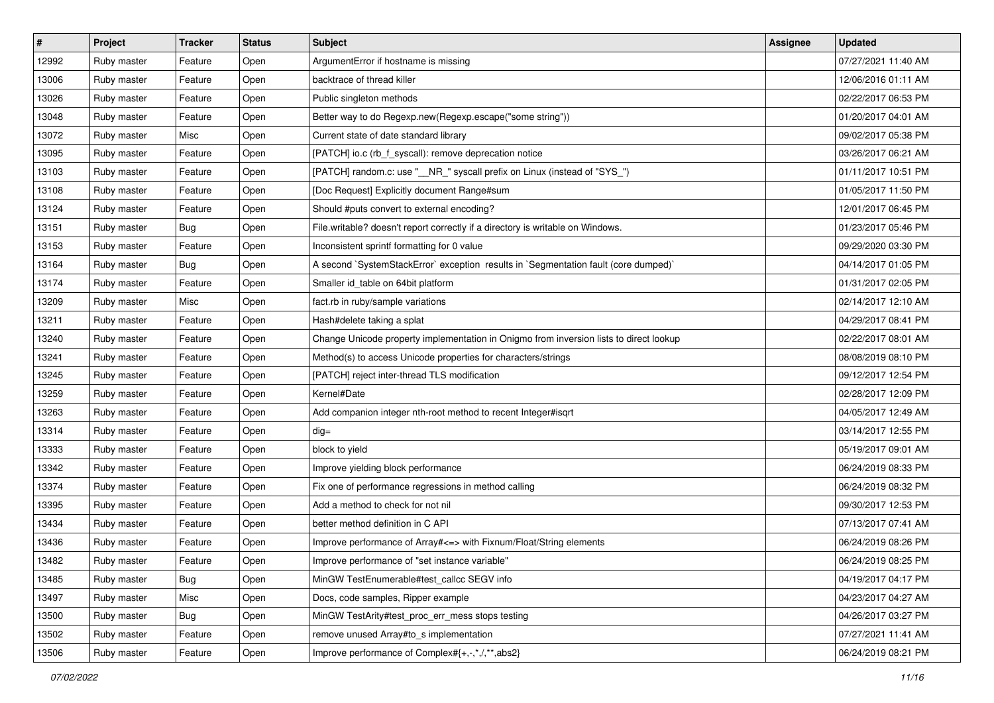| $\vert$ # | Project     | <b>Tracker</b> | <b>Status</b> | Subject                                                                                | <b>Assignee</b> | <b>Updated</b>      |
|-----------|-------------|----------------|---------------|----------------------------------------------------------------------------------------|-----------------|---------------------|
| 12992     | Ruby master | Feature        | Open          | ArgumentError if hostname is missing                                                   |                 | 07/27/2021 11:40 AM |
| 13006     | Ruby master | Feature        | Open          | backtrace of thread killer                                                             |                 | 12/06/2016 01:11 AM |
| 13026     | Ruby master | Feature        | Open          | Public singleton methods                                                               |                 | 02/22/2017 06:53 PM |
| 13048     | Ruby master | Feature        | Open          | Better way to do Regexp.new(Regexp.escape("some string"))                              |                 | 01/20/2017 04:01 AM |
| 13072     | Ruby master | Misc           | Open          | Current state of date standard library                                                 |                 | 09/02/2017 05:38 PM |
| 13095     | Ruby master | Feature        | Open          | [PATCH] io.c (rb_f_syscall): remove deprecation notice                                 |                 | 03/26/2017 06:21 AM |
| 13103     | Ruby master | Feature        | Open          | [PATCH] random.c: use "__NR_" syscall prefix on Linux (instead of "SYS_")              |                 | 01/11/2017 10:51 PM |
| 13108     | Ruby master | Feature        | Open          | [Doc Request] Explicitly document Range#sum                                            |                 | 01/05/2017 11:50 PM |
| 13124     | Ruby master | Feature        | Open          | Should #puts convert to external encoding?                                             |                 | 12/01/2017 06:45 PM |
| 13151     | Ruby master | <b>Bug</b>     | Open          | File.writable? doesn't report correctly if a directory is writable on Windows.         |                 | 01/23/2017 05:46 PM |
| 13153     | Ruby master | Feature        | Open          | Inconsistent sprintf formatting for 0 value                                            |                 | 09/29/2020 03:30 PM |
| 13164     | Ruby master | Bug            | Open          | A second `SystemStackError` exception results in `Segmentation fault (core dumped)`    |                 | 04/14/2017 01:05 PM |
| 13174     | Ruby master | Feature        | Open          | Smaller id table on 64bit platform                                                     |                 | 01/31/2017 02:05 PM |
| 13209     | Ruby master | Misc           | Open          | fact.rb in ruby/sample variations                                                      |                 | 02/14/2017 12:10 AM |
| 13211     | Ruby master | Feature        | Open          | Hash#delete taking a splat                                                             |                 | 04/29/2017 08:41 PM |
| 13240     | Ruby master | Feature        | Open          | Change Unicode property implementation in Onigmo from inversion lists to direct lookup |                 | 02/22/2017 08:01 AM |
| 13241     | Ruby master | Feature        | Open          | Method(s) to access Unicode properties for characters/strings                          |                 | 08/08/2019 08:10 PM |
| 13245     | Ruby master | Feature        | Open          | [PATCH] reject inter-thread TLS modification                                           |                 | 09/12/2017 12:54 PM |
| 13259     | Ruby master | Feature        | Open          | Kernel#Date                                                                            |                 | 02/28/2017 12:09 PM |
| 13263     | Ruby master | Feature        | Open          | Add companion integer nth-root method to recent Integer#isqrt                          |                 | 04/05/2017 12:49 AM |
| 13314     | Ruby master | Feature        | Open          | $dig =$                                                                                |                 | 03/14/2017 12:55 PM |
| 13333     | Ruby master | Feature        | Open          | block to yield                                                                         |                 | 05/19/2017 09:01 AM |
| 13342     | Ruby master | Feature        | Open          | Improve yielding block performance                                                     |                 | 06/24/2019 08:33 PM |
| 13374     | Ruby master | Feature        | Open          | Fix one of performance regressions in method calling                                   |                 | 06/24/2019 08:32 PM |
| 13395     | Ruby master | Feature        | Open          | Add a method to check for not nil                                                      |                 | 09/30/2017 12:53 PM |
| 13434     | Ruby master | Feature        | Open          | better method definition in C API                                                      |                 | 07/13/2017 07:41 AM |
| 13436     | Ruby master | Feature        | Open          | Improve performance of Array#<=> with Fixnum/Float/String elements                     |                 | 06/24/2019 08:26 PM |
| 13482     | Ruby master | Feature        | Open          | Improve performance of "set instance variable"                                         |                 | 06/24/2019 08:25 PM |
| 13485     | Ruby master | Bug            | Open          | MinGW TestEnumerable#test callcc SEGV info                                             |                 | 04/19/2017 04:17 PM |
| 13497     | Ruby master | Misc           | Open          | Docs, code samples, Ripper example                                                     |                 | 04/23/2017 04:27 AM |
| 13500     | Ruby master | Bug            | Open          | MinGW TestArity#test_proc_err_mess stops testing                                       |                 | 04/26/2017 03:27 PM |
| 13502     | Ruby master | Feature        | Open          | remove unused Array#to_s implementation                                                |                 | 07/27/2021 11:41 AM |
| 13506     | Ruby master | Feature        | Open          | Improve performance of Complex#{+,-,*,/,**,abs2}                                       |                 | 06/24/2019 08:21 PM |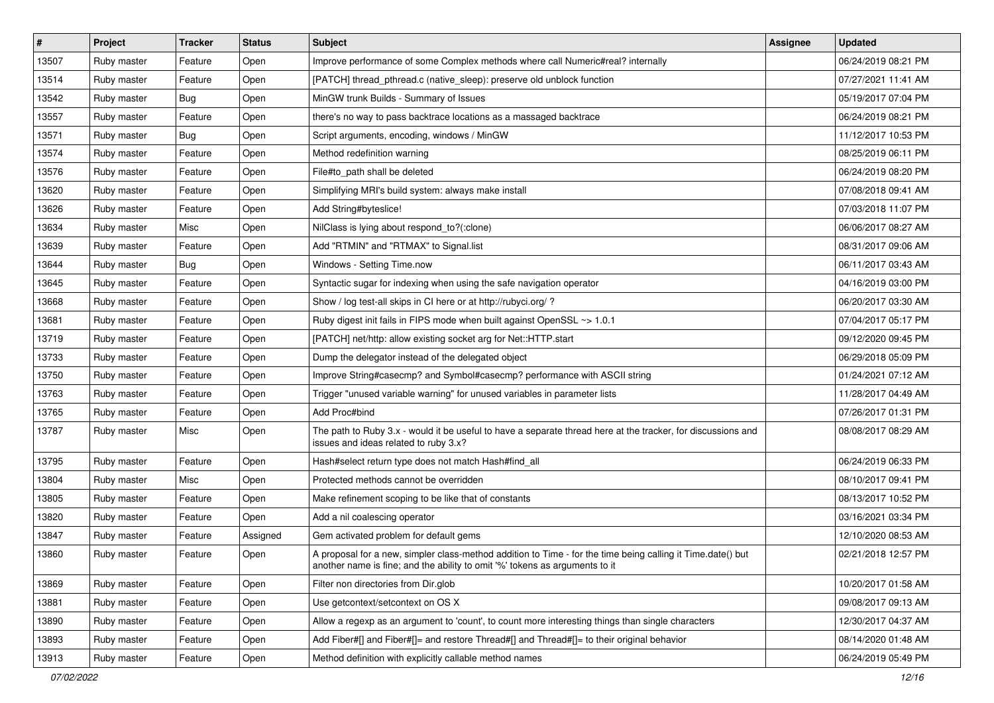| $\vert$ # | Project     | <b>Tracker</b> | <b>Status</b> | Subject                                                                                                                                                                                    | <b>Assignee</b> | <b>Updated</b>      |
|-----------|-------------|----------------|---------------|--------------------------------------------------------------------------------------------------------------------------------------------------------------------------------------------|-----------------|---------------------|
| 13507     | Ruby master | Feature        | Open          | Improve performance of some Complex methods where call Numeric#real? internally                                                                                                            |                 | 06/24/2019 08:21 PM |
| 13514     | Ruby master | Feature        | Open          | [PATCH] thread_pthread.c (native_sleep): preserve old unblock function                                                                                                                     |                 | 07/27/2021 11:41 AM |
| 13542     | Ruby master | <b>Bug</b>     | Open          | MinGW trunk Builds - Summary of Issues                                                                                                                                                     |                 | 05/19/2017 07:04 PM |
| 13557     | Ruby master | Feature        | Open          | there's no way to pass backtrace locations as a massaged backtrace                                                                                                                         |                 | 06/24/2019 08:21 PM |
| 13571     | Ruby master | <b>Bug</b>     | Open          | Script arguments, encoding, windows / MinGW                                                                                                                                                |                 | 11/12/2017 10:53 PM |
| 13574     | Ruby master | Feature        | Open          | Method redefinition warning                                                                                                                                                                |                 | 08/25/2019 06:11 PM |
| 13576     | Ruby master | Feature        | Open          | File#to_path shall be deleted                                                                                                                                                              |                 | 06/24/2019 08:20 PM |
| 13620     | Ruby master | Feature        | Open          | Simplifying MRI's build system: always make install                                                                                                                                        |                 | 07/08/2018 09:41 AM |
| 13626     | Ruby master | Feature        | Open          | Add String#byteslice!                                                                                                                                                                      |                 | 07/03/2018 11:07 PM |
| 13634     | Ruby master | Misc           | Open          | NilClass is lying about respond_to?(:clone)                                                                                                                                                |                 | 06/06/2017 08:27 AM |
| 13639     | Ruby master | Feature        | Open          | Add "RTMIN" and "RTMAX" to Signal.list                                                                                                                                                     |                 | 08/31/2017 09:06 AM |
| 13644     | Ruby master | <b>Bug</b>     | Open          | Windows - Setting Time.now                                                                                                                                                                 |                 | 06/11/2017 03:43 AM |
| 13645     | Ruby master | Feature        | Open          | Syntactic sugar for indexing when using the safe navigation operator                                                                                                                       |                 | 04/16/2019 03:00 PM |
| 13668     | Ruby master | Feature        | Open          | Show / log test-all skips in CI here or at http://rubyci.org/?                                                                                                                             |                 | 06/20/2017 03:30 AM |
| 13681     | Ruby master | Feature        | Open          | Ruby digest init fails in FIPS mode when built against OpenSSL ~> 1.0.1                                                                                                                    |                 | 07/04/2017 05:17 PM |
| 13719     | Ruby master | Feature        | Open          | [PATCH] net/http: allow existing socket arg for Net::HTTP.start                                                                                                                            |                 | 09/12/2020 09:45 PM |
| 13733     | Ruby master | Feature        | Open          | Dump the delegator instead of the delegated object                                                                                                                                         |                 | 06/29/2018 05:09 PM |
| 13750     | Ruby master | Feature        | Open          | Improve String#casecmp? and Symbol#casecmp? performance with ASCII string                                                                                                                  |                 | 01/24/2021 07:12 AM |
| 13763     | Ruby master | Feature        | Open          | Trigger "unused variable warning" for unused variables in parameter lists                                                                                                                  |                 | 11/28/2017 04:49 AM |
| 13765     | Ruby master | Feature        | Open          | Add Proc#bind                                                                                                                                                                              |                 | 07/26/2017 01:31 PM |
| 13787     | Ruby master | Misc           | Open          | The path to Ruby 3.x - would it be useful to have a separate thread here at the tracker, for discussions and<br>issues and ideas related to ruby 3.x?                                      |                 | 08/08/2017 08:29 AM |
| 13795     | Ruby master | Feature        | Open          | Hash#select return type does not match Hash#find_all                                                                                                                                       |                 | 06/24/2019 06:33 PM |
| 13804     | Ruby master | Misc           | Open          | Protected methods cannot be overridden                                                                                                                                                     |                 | 08/10/2017 09:41 PM |
| 13805     | Ruby master | Feature        | Open          | Make refinement scoping to be like that of constants                                                                                                                                       |                 | 08/13/2017 10:52 PM |
| 13820     | Ruby master | Feature        | Open          | Add a nil coalescing operator                                                                                                                                                              |                 | 03/16/2021 03:34 PM |
| 13847     | Ruby master | Feature        | Assigned      | Gem activated problem for default gems                                                                                                                                                     |                 | 12/10/2020 08:53 AM |
| 13860     | Ruby master | Feature        | Open          | A proposal for a new, simpler class-method addition to Time - for the time being calling it Time.date() but<br>another name is fine; and the ability to omit '%' tokens as arguments to it |                 | 02/21/2018 12:57 PM |
| 13869     | Ruby master | Feature        | Open          | Filter non directories from Dir.glob                                                                                                                                                       |                 | 10/20/2017 01:58 AM |
| 13881     | Ruby master | Feature        | Open          | Use getcontext/setcontext on OS X                                                                                                                                                          |                 | 09/08/2017 09:13 AM |
| 13890     | Ruby master | Feature        | Open          | Allow a regexp as an argument to 'count', to count more interesting things than single characters                                                                                          |                 | 12/30/2017 04:37 AM |
| 13893     | Ruby master | Feature        | Open          | Add Fiber#[] and Fiber#[]= and restore Thread#[] and Thread#[]= to their original behavior                                                                                                 |                 | 08/14/2020 01:48 AM |
| 13913     | Ruby master | Feature        | Open          | Method definition with explicitly callable method names                                                                                                                                    |                 | 06/24/2019 05:49 PM |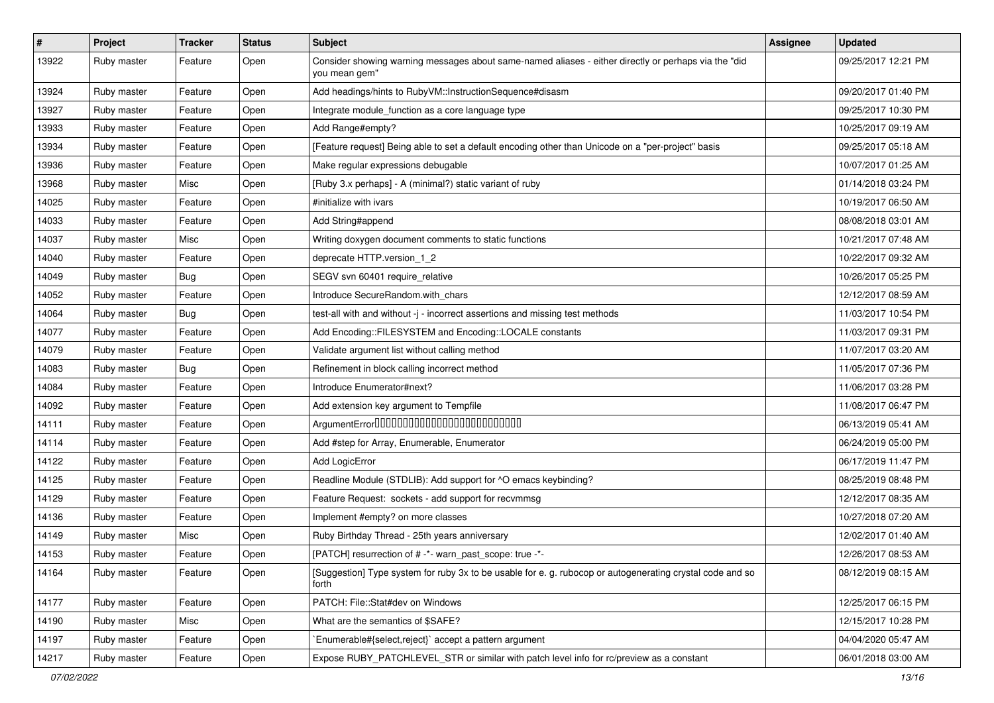| $\vert$ # | Project     | <b>Tracker</b> | <b>Status</b> | <b>Subject</b>                                                                                                        | Assignee | <b>Updated</b>      |
|-----------|-------------|----------------|---------------|-----------------------------------------------------------------------------------------------------------------------|----------|---------------------|
| 13922     | Ruby master | Feature        | Open          | Consider showing warning messages about same-named aliases - either directly or perhaps via the "did<br>you mean gem" |          | 09/25/2017 12:21 PM |
| 13924     | Ruby master | Feature        | Open          | Add headings/hints to RubyVM::InstructionSequence#disasm                                                              |          | 09/20/2017 01:40 PM |
| 13927     | Ruby master | Feature        | Open          | Integrate module_function as a core language type                                                                     |          | 09/25/2017 10:30 PM |
| 13933     | Ruby master | Feature        | Open          | Add Range#empty?                                                                                                      |          | 10/25/2017 09:19 AM |
| 13934     | Ruby master | Feature        | Open          | [Feature request] Being able to set a default encoding other than Unicode on a "per-project" basis                    |          | 09/25/2017 05:18 AM |
| 13936     | Ruby master | Feature        | Open          | Make regular expressions debugable                                                                                    |          | 10/07/2017 01:25 AM |
| 13968     | Ruby master | Misc           | Open          | [Ruby 3.x perhaps] - A (minimal?) static variant of ruby                                                              |          | 01/14/2018 03:24 PM |
| 14025     | Ruby master | Feature        | Open          | #initialize with ivars                                                                                                |          | 10/19/2017 06:50 AM |
| 14033     | Ruby master | Feature        | Open          | Add String#append                                                                                                     |          | 08/08/2018 03:01 AM |
| 14037     | Ruby master | Misc           | Open          | Writing doxygen document comments to static functions                                                                 |          | 10/21/2017 07:48 AM |
| 14040     | Ruby master | Feature        | Open          | deprecate HTTP.version_1_2                                                                                            |          | 10/22/2017 09:32 AM |
| 14049     | Ruby master | <b>Bug</b>     | Open          | SEGV svn 60401 require_relative                                                                                       |          | 10/26/2017 05:25 PM |
| 14052     | Ruby master | Feature        | Open          | Introduce SecureRandom.with_chars                                                                                     |          | 12/12/2017 08:59 AM |
| 14064     | Ruby master | <b>Bug</b>     | Open          | test-all with and without -j - incorrect assertions and missing test methods                                          |          | 11/03/2017 10:54 PM |
| 14077     | Ruby master | Feature        | Open          | Add Encoding::FILESYSTEM and Encoding::LOCALE constants                                                               |          | 11/03/2017 09:31 PM |
| 14079     | Ruby master | Feature        | Open          | Validate argument list without calling method                                                                         |          | 11/07/2017 03:20 AM |
| 14083     | Ruby master | <b>Bug</b>     | Open          | Refinement in block calling incorrect method                                                                          |          | 11/05/2017 07:36 PM |
| 14084     | Ruby master | Feature        | Open          | Introduce Enumerator#next?                                                                                            |          | 11/06/2017 03:28 PM |
| 14092     | Ruby master | Feature        | Open          | Add extension key argument to Tempfile                                                                                |          | 11/08/2017 06:47 PM |
| 14111     | Ruby master | Feature        | Open          | ArgumentError0000000000000000000000000                                                                                |          | 06/13/2019 05:41 AM |
| 14114     | Ruby master | Feature        | Open          | Add #step for Array, Enumerable, Enumerator                                                                           |          | 06/24/2019 05:00 PM |
| 14122     | Ruby master | Feature        | Open          | <b>Add LogicError</b>                                                                                                 |          | 06/17/2019 11:47 PM |
| 14125     | Ruby master | Feature        | Open          | Readline Module (STDLIB): Add support for ^O emacs keybinding?                                                        |          | 08/25/2019 08:48 PM |
| 14129     | Ruby master | Feature        | Open          | Feature Request: sockets - add support for recvmmsg                                                                   |          | 12/12/2017 08:35 AM |
| 14136     | Ruby master | Feature        | Open          | Implement #empty? on more classes                                                                                     |          | 10/27/2018 07:20 AM |
| 14149     | Ruby master | Misc           | Open          | Ruby Birthday Thread - 25th years anniversary                                                                         |          | 12/02/2017 01:40 AM |
| 14153     | Ruby master | Feature        | Open          | [PATCH] resurrection of # -*- warn past scope: true -*-                                                               |          | 12/26/2017 08:53 AM |
| 14164     | Ruby master | Feature        | Open          | [Suggestion] Type system for ruby 3x to be usable for e. g. rubocop or autogenerating crystal code and so<br>forth    |          | 08/12/2019 08:15 AM |
| 14177     | Ruby master | Feature        | Open          | PATCH: File::Stat#dev on Windows                                                                                      |          | 12/25/2017 06:15 PM |
| 14190     | Ruby master | Misc           | Open          | What are the semantics of \$SAFE?                                                                                     |          | 12/15/2017 10:28 PM |
| 14197     | Ruby master | Feature        | Open          | `Enumerable#{select,reject}` accept a pattern argument                                                                |          | 04/04/2020 05:47 AM |
| 14217     | Ruby master | Feature        | Open          | Expose RUBY_PATCHLEVEL_STR or similar with patch level info for rc/preview as a constant                              |          | 06/01/2018 03:00 AM |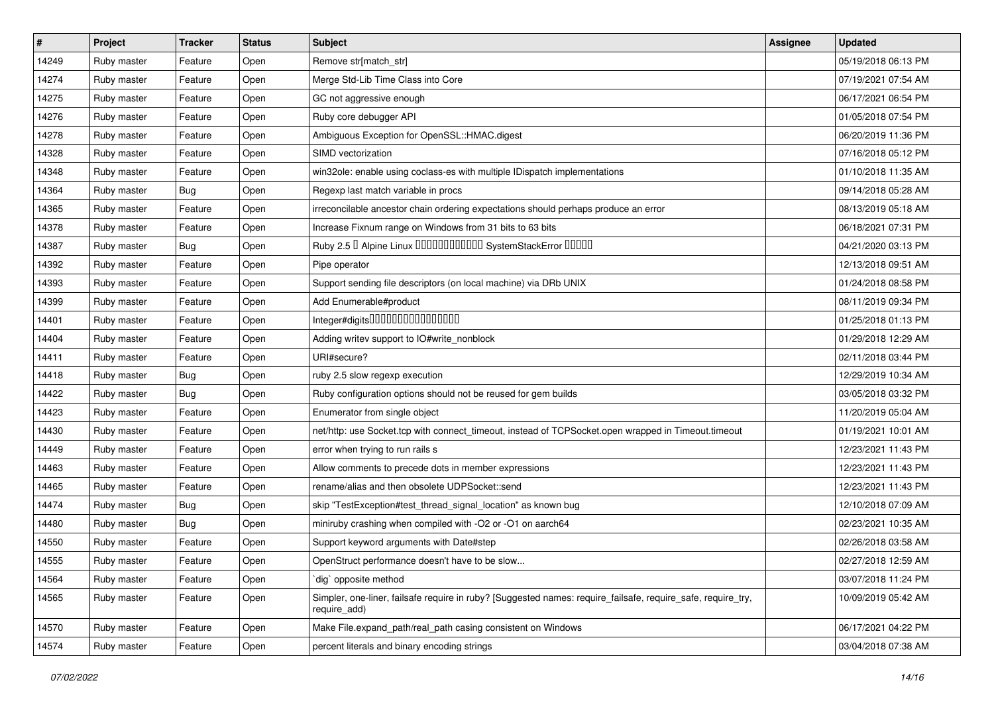| $\sharp$ | Project     | <b>Tracker</b> | <b>Status</b> | <b>Subject</b>                                                                                                               | <b>Assignee</b> | <b>Updated</b>      |
|----------|-------------|----------------|---------------|------------------------------------------------------------------------------------------------------------------------------|-----------------|---------------------|
| 14249    | Ruby master | Feature        | Open          | Remove str[match_str]                                                                                                        |                 | 05/19/2018 06:13 PM |
| 14274    | Ruby master | Feature        | Open          | Merge Std-Lib Time Class into Core                                                                                           |                 | 07/19/2021 07:54 AM |
| 14275    | Ruby master | Feature        | Open          | GC not aggressive enough                                                                                                     |                 | 06/17/2021 06:54 PM |
| 14276    | Ruby master | Feature        | Open          | Ruby core debugger API                                                                                                       |                 | 01/05/2018 07:54 PM |
| 14278    | Ruby master | Feature        | Open          | Ambiguous Exception for OpenSSL::HMAC.digest                                                                                 |                 | 06/20/2019 11:36 PM |
| 14328    | Ruby master | Feature        | Open          | SIMD vectorization                                                                                                           |                 | 07/16/2018 05:12 PM |
| 14348    | Ruby master | Feature        | Open          | win32ole: enable using coclass-es with multiple IDispatch implementations                                                    |                 | 01/10/2018 11:35 AM |
| 14364    | Ruby master | <b>Bug</b>     | Open          | Regexp last match variable in procs                                                                                          |                 | 09/14/2018 05:28 AM |
| 14365    | Ruby master | Feature        | Open          | irreconcilable ancestor chain ordering expectations should perhaps produce an error                                          |                 | 08/13/2019 05:18 AM |
| 14378    | Ruby master | Feature        | Open          | Increase Fixnum range on Windows from 31 bits to 63 bits                                                                     |                 | 06/18/2021 07:31 PM |
| 14387    | Ruby master | <b>Bug</b>     | Open          | Ruby 2.5 <sup>D</sup> Alpine Linux 000000000000 SystemStackError 00000                                                       |                 | 04/21/2020 03:13 PM |
| 14392    | Ruby master | Feature        | Open          | Pipe operator                                                                                                                |                 | 12/13/2018 09:51 AM |
| 14393    | Ruby master | Feature        | Open          | Support sending file descriptors (on local machine) via DRb UNIX                                                             |                 | 01/24/2018 08:58 PM |
| 14399    | Ruby master | Feature        | Open          | Add Enumerable#product                                                                                                       |                 | 08/11/2019 09:34 PM |
| 14401    | Ruby master | Feature        | Open          | Integer#digits0000000000000000                                                                                               |                 | 01/25/2018 01:13 PM |
| 14404    | Ruby master | Feature        | Open          | Adding writev support to IO#write_nonblock                                                                                   |                 | 01/29/2018 12:29 AM |
| 14411    | Ruby master | Feature        | Open          | URI#secure?                                                                                                                  |                 | 02/11/2018 03:44 PM |
| 14418    | Ruby master | <b>Bug</b>     | Open          | ruby 2.5 slow regexp execution                                                                                               |                 | 12/29/2019 10:34 AM |
| 14422    | Ruby master | <b>Bug</b>     | Open          | Ruby configuration options should not be reused for gem builds                                                               |                 | 03/05/2018 03:32 PM |
| 14423    | Ruby master | Feature        | Open          | Enumerator from single object                                                                                                |                 | 11/20/2019 05:04 AM |
| 14430    | Ruby master | Feature        | Open          | net/http: use Socket.tcp with connect_timeout, instead of TCPSocket.open wrapped in Timeout.timeout                          |                 | 01/19/2021 10:01 AM |
| 14449    | Ruby master | Feature        | Open          | error when trying to run rails s                                                                                             |                 | 12/23/2021 11:43 PM |
| 14463    | Ruby master | Feature        | Open          | Allow comments to precede dots in member expressions                                                                         |                 | 12/23/2021 11:43 PM |
| 14465    | Ruby master | Feature        | Open          | rename/alias and then obsolete UDPSocket::send                                                                               |                 | 12/23/2021 11:43 PM |
| 14474    | Ruby master | <b>Bug</b>     | Open          | skip "TestException#test_thread_signal_location" as known bug                                                                |                 | 12/10/2018 07:09 AM |
| 14480    | Ruby master | <b>Bug</b>     | Open          | miniruby crashing when compiled with -O2 or -O1 on aarch64                                                                   |                 | 02/23/2021 10:35 AM |
| 14550    | Ruby master | Feature        | Open          | Support keyword arguments with Date#step                                                                                     |                 | 02/26/2018 03:58 AM |
| 14555    | Ruby master | Feature        | Open          | OpenStruct performance doesn't have to be slow                                                                               |                 | 02/27/2018 12:59 AM |
| 14564    | Ruby master | Feature        | Open          | dig opposite method                                                                                                          |                 | 03/07/2018 11:24 PM |
| 14565    | Ruby master | Feature        | Open          | Simpler, one-liner, failsafe require in ruby? [Suggested names: require_failsafe, require_safe, require_try,<br>require_add) |                 | 10/09/2019 05:42 AM |
| 14570    | Ruby master | Feature        | Open          | Make File.expand_path/real_path casing consistent on Windows                                                                 |                 | 06/17/2021 04:22 PM |
| 14574    | Ruby master | Feature        | Open          | percent literals and binary encoding strings                                                                                 |                 | 03/04/2018 07:38 AM |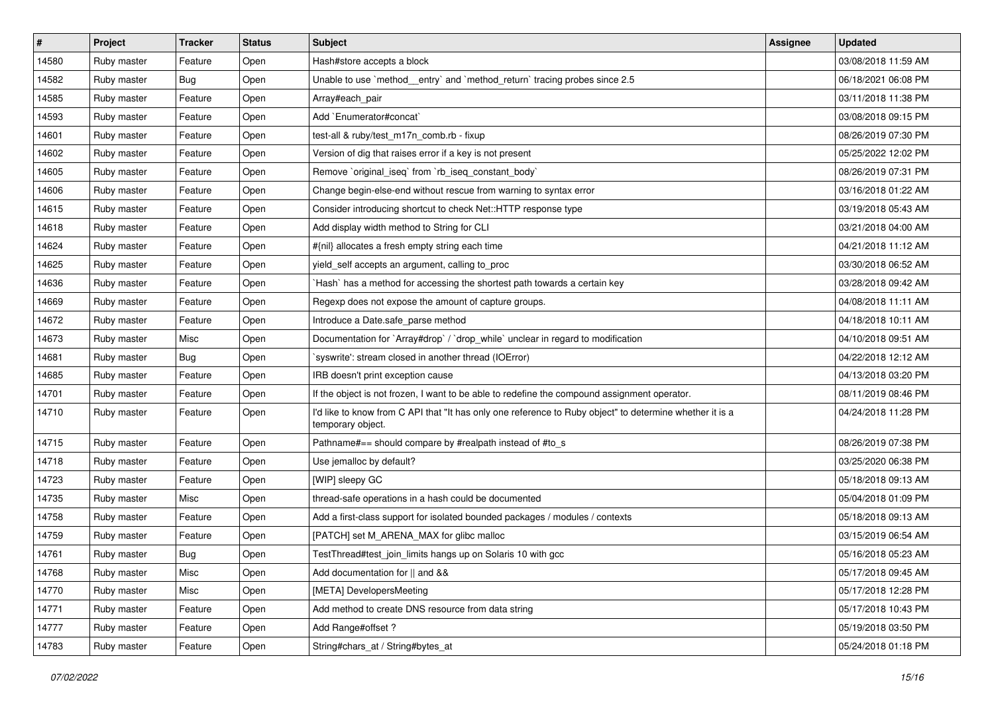| $\sharp$ | Project     | <b>Tracker</b> | <b>Status</b> | <b>Subject</b>                                                                                                                | <b>Assignee</b> | <b>Updated</b>      |
|----------|-------------|----------------|---------------|-------------------------------------------------------------------------------------------------------------------------------|-----------------|---------------------|
| 14580    | Ruby master | Feature        | Open          | Hash#store accepts a block                                                                                                    |                 | 03/08/2018 11:59 AM |
| 14582    | Ruby master | <b>Bug</b>     | Open          | Unable to use `method_entry` and `method_return` tracing probes since 2.5                                                     |                 | 06/18/2021 06:08 PM |
| 14585    | Ruby master | Feature        | Open          | Array#each_pair                                                                                                               |                 | 03/11/2018 11:38 PM |
| 14593    | Ruby master | Feature        | Open          | Add `Enumerator#concat`                                                                                                       |                 | 03/08/2018 09:15 PM |
| 14601    | Ruby master | Feature        | Open          | test-all & ruby/test_m17n_comb.rb - fixup                                                                                     |                 | 08/26/2019 07:30 PM |
| 14602    | Ruby master | Feature        | Open          | Version of dig that raises error if a key is not present                                                                      |                 | 05/25/2022 12:02 PM |
| 14605    | Ruby master | Feature        | Open          | Remove `original_iseq` from `rb_iseq_constant_body`                                                                           |                 | 08/26/2019 07:31 PM |
| 14606    | Ruby master | Feature        | Open          | Change begin-else-end without rescue from warning to syntax error                                                             |                 | 03/16/2018 01:22 AM |
| 14615    | Ruby master | Feature        | Open          | Consider introducing shortcut to check Net::HTTP response type                                                                |                 | 03/19/2018 05:43 AM |
| 14618    | Ruby master | Feature        | Open          | Add display width method to String for CLI                                                                                    |                 | 03/21/2018 04:00 AM |
| 14624    | Ruby master | Feature        | Open          | #{nil} allocates a fresh empty string each time                                                                               |                 | 04/21/2018 11:12 AM |
| 14625    | Ruby master | Feature        | Open          | yield_self accepts an argument, calling to_proc                                                                               |                 | 03/30/2018 06:52 AM |
| 14636    | Ruby master | Feature        | Open          | `Hash` has a method for accessing the shortest path towards a certain key                                                     |                 | 03/28/2018 09:42 AM |
| 14669    | Ruby master | Feature        | Open          | Regexp does not expose the amount of capture groups.                                                                          |                 | 04/08/2018 11:11 AM |
| 14672    | Ruby master | Feature        | Open          | Introduce a Date.safe_parse method                                                                                            |                 | 04/18/2018 10:11 AM |
| 14673    | Ruby master | Misc           | Open          | Documentation for `Array#drop` / `drop_while` unclear in regard to modification                                               |                 | 04/10/2018 09:51 AM |
| 14681    | Ruby master | <b>Bug</b>     | Open          | `syswrite': stream closed in another thread (IOError)                                                                         |                 | 04/22/2018 12:12 AM |
| 14685    | Ruby master | Feature        | Open          | IRB doesn't print exception cause                                                                                             |                 | 04/13/2018 03:20 PM |
| 14701    | Ruby master | Feature        | Open          | If the object is not frozen, I want to be able to redefine the compound assignment operator.                                  |                 | 08/11/2019 08:46 PM |
| 14710    | Ruby master | Feature        | Open          | I'd like to know from C API that "It has only one reference to Ruby object" to determine whether it is a<br>temporary object. |                 | 04/24/2018 11:28 PM |
| 14715    | Ruby master | Feature        | Open          | Pathname#== should compare by #realpath instead of #to_s                                                                      |                 | 08/26/2019 07:38 PM |
| 14718    | Ruby master | Feature        | Open          | Use jemalloc by default?                                                                                                      |                 | 03/25/2020 06:38 PM |
| 14723    | Ruby master | Feature        | Open          | [WIP] sleepy GC                                                                                                               |                 | 05/18/2018 09:13 AM |
| 14735    | Ruby master | Misc           | Open          | thread-safe operations in a hash could be documented                                                                          |                 | 05/04/2018 01:09 PM |
| 14758    | Ruby master | Feature        | Open          | Add a first-class support for isolated bounded packages / modules / contexts                                                  |                 | 05/18/2018 09:13 AM |
| 14759    | Ruby master | Feature        | Open          | [PATCH] set M_ARENA_MAX for glibc malloc                                                                                      |                 | 03/15/2019 06:54 AM |
| 14761    | Ruby master | <b>Bug</b>     | Open          | TestThread#test_join_limits hangs up on Solaris 10 with gcc                                                                   |                 | 05/16/2018 05:23 AM |
| 14768    | Ruby master | Misc           | Open          | Add documentation for    and &&                                                                                               |                 | 05/17/2018 09:45 AM |
| 14770    | Ruby master | Misc           | Open          | [META] DevelopersMeeting                                                                                                      |                 | 05/17/2018 12:28 PM |
| 14771    | Ruby master | Feature        | Open          | Add method to create DNS resource from data string                                                                            |                 | 05/17/2018 10:43 PM |
| 14777    | Ruby master | Feature        | Open          | Add Range#offset?                                                                                                             |                 | 05/19/2018 03:50 PM |
| 14783    | Ruby master | Feature        | Open          | String#chars_at / String#bytes_at                                                                                             |                 | 05/24/2018 01:18 PM |